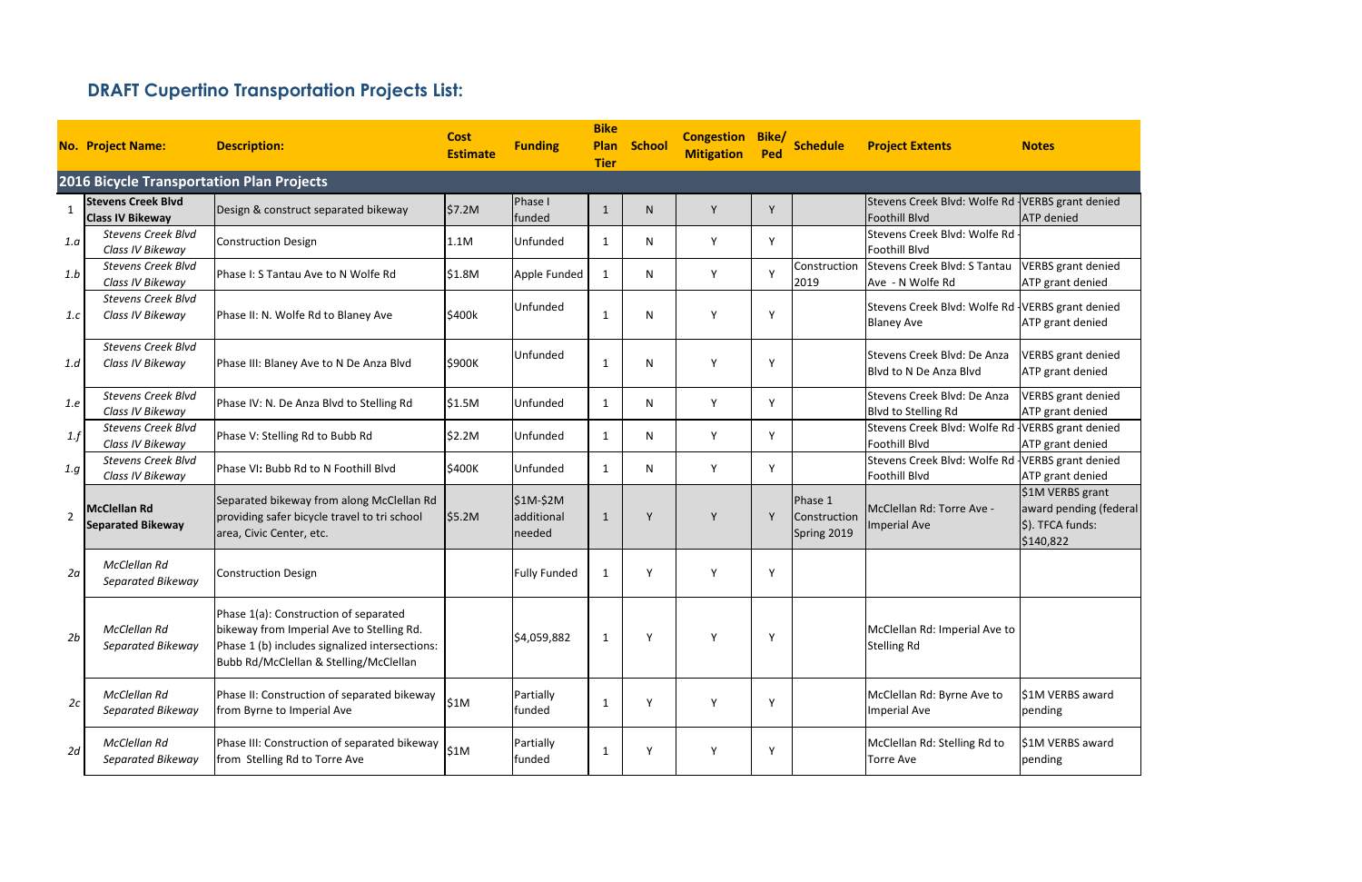|                | <b>No. Project Name:</b>                             | <b>Description:</b>                                                                                                                                                            | <b>Cost</b><br><b>Estimate</b> | <b>Funding</b>                    | <b>Bike</b><br><b>Plan</b><br><b>Tier</b> | School | <b>Congestion</b><br><b>Mitigation</b> | Bike/<br>Ped | <b>Schedule</b>                        | <b>Project Extents</b>                                               | <b>Notes</b>                                                                |
|----------------|------------------------------------------------------|--------------------------------------------------------------------------------------------------------------------------------------------------------------------------------|--------------------------------|-----------------------------------|-------------------------------------------|--------|----------------------------------------|--------------|----------------------------------------|----------------------------------------------------------------------|-----------------------------------------------------------------------------|
|                | <b>2016 Bicycle Transportation Plan Projects</b>     |                                                                                                                                                                                |                                |                                   |                                           |        |                                        |              |                                        |                                                                      |                                                                             |
| $\mathbf{1}$   | <b>Stevens Creek Blvd</b><br><b>Class IV Bikeway</b> | Design & construct separated bikeway                                                                                                                                           | \$7.2M                         | Phase I<br>funded                 | $\overline{1}$                            | N.     | Y                                      | Y            |                                        | Stevens Creek Blvd: Wolfe Rd VERBS grant denied<br>Foothill Blvd     | <b>ATP</b> denied                                                           |
| 1.a            | <b>Stevens Creek Blvd</b><br>Class IV Bikeway        | <b>Construction Design</b>                                                                                                                                                     | 1.1M                           | Unfunded                          | 1                                         | N      | Y                                      | Y            |                                        | Stevens Creek Blvd: Wolfe Rd<br><b>Foothill Blvd</b>                 |                                                                             |
| 1.b            | <b>Stevens Creek Blvd</b><br>Class IV Bikeway        | Phase I: S Tantau Ave to N Wolfe Rd                                                                                                                                            | \$1.8M                         | Apple Funded                      | 1                                         | N      | Y                                      | Y            | Construction<br>2019                   | Stevens Creek Blvd: S Tantau<br>Ave - N Wolfe Rd                     | <b>VERBS</b> grant denied<br>ATP grant denied                               |
| 1.c            | <b>Stevens Creek Blvd</b><br>Class IV Bikeway        | Phase II: N. Wolfe Rd to Blaney Ave                                                                                                                                            | \$400k                         | Unfunded                          | -1                                        | N      | Y                                      | Y            |                                        | Stevens Creek Blvd: Wolfe Rd VERBS grant denied<br><b>Blaney Ave</b> | ATP grant denied                                                            |
| 1.d            | <b>Stevens Creek Blvd</b><br>Class IV Bikeway        | Phase III: Blaney Ave to N De Anza Blvd                                                                                                                                        | \$900K                         | <b>Unfunded</b>                   | 1                                         | N      | Y                                      | Y            |                                        | Stevens Creek Blvd: De Anza<br>Blyd to N De Anza Blyd                | <b>VERBS</b> grant denied<br>ATP grant denied                               |
| 1.e            | <b>Stevens Creek Blvd</b><br>Class IV Bikeway        | Phase IV: N. De Anza Blvd to Stelling Rd                                                                                                                                       | \$1.5M                         | Unfunded                          | 1                                         | N      | Y                                      | Y            |                                        | Stevens Creek Blvd: De Anza<br><b>Blvd to Stelling Rd</b>            | <b>VERBS</b> grant denied<br>ATP grant denied                               |
| 1.f            | <b>Stevens Creek Blvd</b><br>Class IV Bikeway        | Phase V: Stelling Rd to Bubb Rd                                                                                                                                                | \$2.2M                         | Unfunded                          | 1                                         | N      | Y                                      | Y            |                                        | Stevens Creek Blvd: Wolfe Rd<br>Foothill Blvd                        | VERBS grant denied<br>ATP grant denied                                      |
| 1.g            | <b>Stevens Creek Blvd</b><br>Class IV Bikeway        | Phase VI: Bubb Rd to N Foothill Blvd                                                                                                                                           | \$400K                         | Unfunded                          | $\mathbf{1}$                              | N      | Y                                      | Υ            |                                        | Stevens Creek Blvd: Wolfe Rd<br>Foothill Blvd                        | VERBS grant denied<br>ATP grant denied                                      |
| $\overline{2}$ | <b>McClellan Rd</b><br><b>Separated Bikeway</b>      | Separated bikeway from along McClellan Rd<br>providing safer bicycle travel to tri school<br>area, Civic Center, etc.                                                          | \$5.2M                         | $$1M-$2M$<br>additional<br>needed | $\mathbf{1}$                              | Υ      | Y                                      | Y            | Phase 1<br>Construction<br>Spring 2019 | McClellan Rd: Torre Ave -<br>Imperial Ave                            | \$1M VERBS grant<br>award pending (federal<br>\$). TFCA funds:<br>\$140,822 |
| 2a             | McClellan Rd<br>Separated Bikeway                    | <b>Construction Design</b>                                                                                                                                                     |                                | <b>Fully Funded</b>               | 1                                         | Y      | Υ                                      | Υ            |                                        |                                                                      |                                                                             |
| 2b             | McClellan Rd<br>Separated Bikeway                    | Phase 1(a): Construction of separated<br>bikeway from Imperial Ave to Stelling Rd.<br>Phase 1 (b) includes signalized intersections:<br>Bubb Rd/McClellan & Stelling/McClellan |                                | \$4,059,882                       | $\mathbf{1}$                              | Y      | Υ                                      | Υ            |                                        | McClellan Rd: Imperial Ave to<br><b>Stelling Rd</b>                  |                                                                             |
| 2c             | McClellan Rd<br>Separated Bikeway                    | Phase II: Construction of separated bikeway<br>from Byrne to Imperial Ave                                                                                                      | \$1M                           | Partially<br>funded               | 1                                         | Y      | Υ                                      | Y            |                                        | McClellan Rd: Byrne Ave to<br><b>Imperial Ave</b>                    | \$1M VERBS award<br>pending                                                 |
| 2d             | McClellan Rd<br>Separated Bikeway                    | Phase III: Construction of separated bikeway<br>from Stelling Rd to Torre Ave                                                                                                  | \$1M                           | Partially<br>funded               | $\mathbf{1}$                              | Υ      | Υ                                      | Y            |                                        | McClellan Rd: Stelling Rd to<br><b>Torre Ave</b>                     | \$1M VERBS award<br>pending                                                 |

# **DRAFT Cupertino Transportation Projects List:**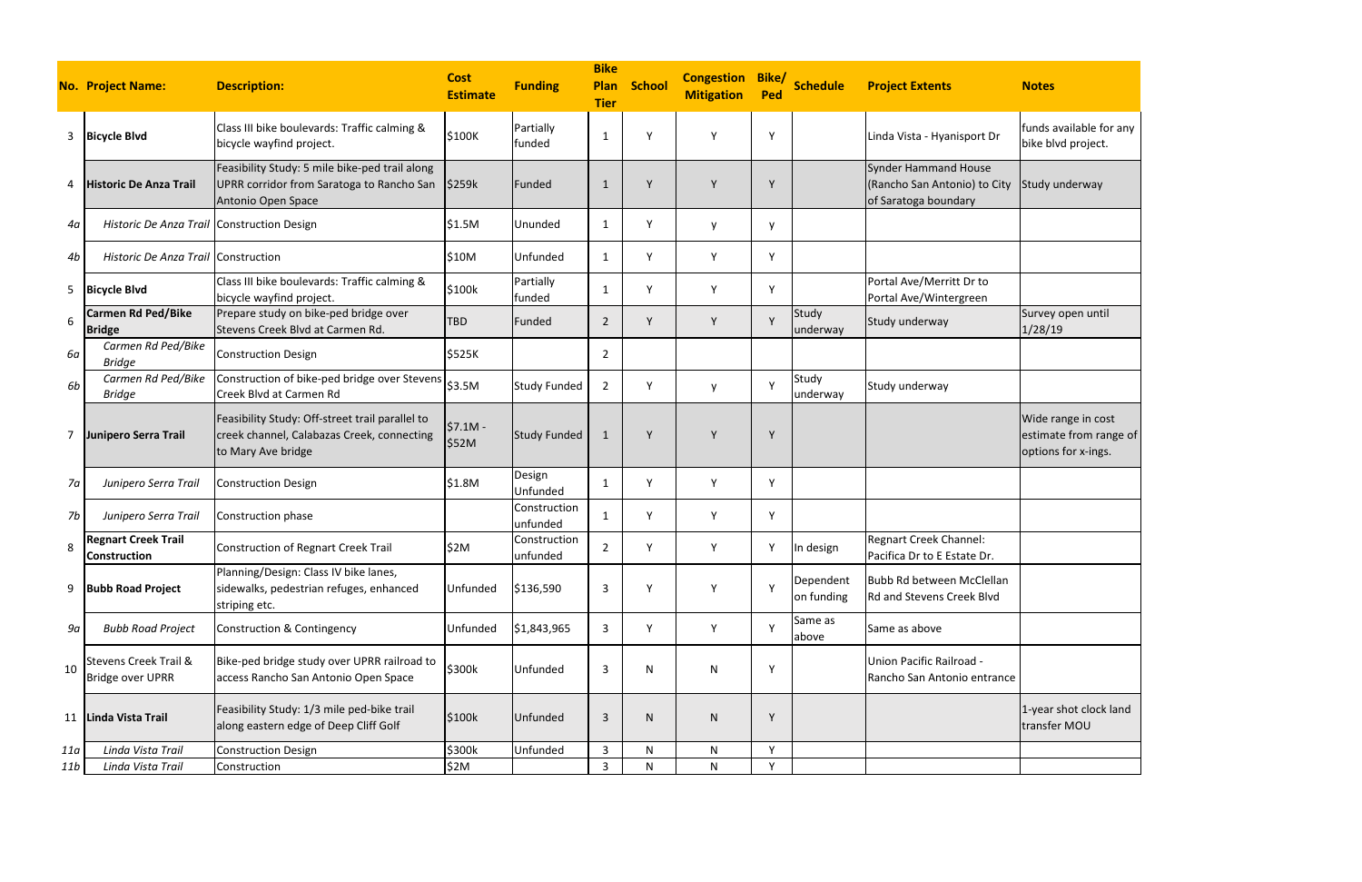|     | <b>No. Project Name:</b>                                    | <b>Description:</b>                                                                                                 | <b>Cost</b><br><b>Estimate</b> | <b>Funding</b>           | <b>Bike</b><br>Plan<br><b>Tier</b> | <b>School</b> | <b>Congestion</b><br><b>Mitigation</b> | Bike/<br>Ped | <b>Schedule</b>         | <b>Project Extents</b>                                                              | <b>Notes</b>                                                        |
|-----|-------------------------------------------------------------|---------------------------------------------------------------------------------------------------------------------|--------------------------------|--------------------------|------------------------------------|---------------|----------------------------------------|--------------|-------------------------|-------------------------------------------------------------------------------------|---------------------------------------------------------------------|
| 3   | <b>Bicycle Blvd</b>                                         | Class III bike boulevards: Traffic calming &<br>bicycle wayfind project.                                            | \$100K                         | Partially<br>funded      | 1                                  |               | Υ                                      | Υ            |                         | Linda Vista - Hyanisport Dr                                                         | funds available for any<br>bike blvd project.                       |
| 4   | <b>Historic De Anza Trail</b>                               | Feasibility Study: 5 mile bike-ped trail along<br>UPRR corridor from Saratoga to Rancho San<br>Antonio Open Space   | \$259k                         | Funded                   | 1                                  |               | Y                                      | Y            |                         | <b>Synder Hammand House</b><br>(Rancho San Antonio) to City<br>of Saratoga boundary | Study underway                                                      |
| 4а  | Historic De Anza Trail Construction Design                  |                                                                                                                     | \$1.5M                         | Ununded                  | 1                                  | Y             | y                                      | <b>V</b>     |                         |                                                                                     |                                                                     |
| 4b  | Historic De Anza Trail Construction                         |                                                                                                                     | \$10M                          | Unfunded                 | $\mathbf{1}$                       | Y             | Y                                      | Υ            |                         |                                                                                     |                                                                     |
| 5   | <b>Bicycle Blvd</b>                                         | Class III bike boulevards: Traffic calming &<br>bicycle wayfind project.                                            | \$100k                         | Partially<br>funded      | 1                                  |               | Υ                                      | Υ            |                         | Portal Ave/Merritt Dr to<br>Portal Ave/Wintergreen                                  |                                                                     |
| 6   | <b>Carmen Rd Ped/Bike</b><br><b>Bridge</b>                  | Prepare study on bike-ped bridge over<br>Stevens Creek Blvd at Carmen Rd.                                           | <b>TBD</b>                     | Funded                   | $\overline{2}$                     |               | Y                                      | $\vee$       | Study<br>underway       | Study underway                                                                      | Survey open until<br>1/28/19                                        |
| 6а  | Carmen Rd Ped/Bike<br><b>Bridge</b>                         | <b>Construction Design</b>                                                                                          | \$525K                         |                          | $\overline{2}$                     |               |                                        |              |                         |                                                                                     |                                                                     |
| 6b  | Carmen Rd Ped/Bike<br><b>Bridge</b>                         | Construction of bike-ped bridge over Stevens<br>Creek Blvd at Carmen Rd                                             | \$3.5M                         | <b>Study Funded</b>      | $\overline{2}$                     | Y             | y                                      | Y            | Study<br>underway       | Study underway                                                                      |                                                                     |
|     | Junipero Serra Trail                                        | Feasibility Study: Off-street trail parallel to<br>creek channel, Calabazas Creek, connecting<br>to Mary Ave bridge | $$7.1M -$<br>\$52M             | <b>Study Funded</b>      | 1                                  | $\vee$        | Y                                      | Y            |                         |                                                                                     | Wide range in cost<br>estimate from range of<br>options for x-ings. |
| 7a  | Junipero Serra Trail                                        | <b>Construction Design</b>                                                                                          | \$1.8M                         | Design<br>Unfunded       | 1                                  | Υ             | Υ                                      | Υ            |                         |                                                                                     |                                                                     |
| 7b  | Junipero Serra Trail                                        | Construction phase                                                                                                  |                                | Construction<br>unfunded | 1                                  |               | Y                                      | Υ            |                         |                                                                                     |                                                                     |
| 8   | <b>Regnart Creek Trail</b><br>Construction                  | Construction of Regnart Creek Trail                                                                                 | \$2M                           | Construction<br>unfunded | $\overline{2}$                     | $\checkmark$  | Y                                      | Y            | In design               | Regnart Creek Channel:<br>Pacifica Dr to E Estate Dr.                               |                                                                     |
| 9   | <b>Bubb Road Project</b>                                    | Planning/Design: Class IV bike lanes,<br>sidewalks, pedestrian refuges, enhanced<br>striping etc.                   | Unfunded                       | \$136,590                | 3                                  |               | Υ                                      | $\mathsf{v}$ | Dependent<br>on funding | Bubb Rd between McClellan<br>Rd and Stevens Creek Blvd                              |                                                                     |
| 9а  | <b>Bubb Road Project</b>                                    | <b>Construction &amp; Contingency</b>                                                                               | Unfunded                       | \$1,843,965              | 3                                  | Y             | Y                                      | $\vee$       | Same as<br>above        | Same as above                                                                       |                                                                     |
| 10  | <b>Stevens Creek Trail &amp;</b><br><b>Bridge over UPRR</b> | Bike-ped bridge study over UPRR railroad to<br>access Rancho San Antonio Open Space                                 | \$300k                         | Unfunded                 | 3                                  | N             | N                                      | Y            |                         | Union Pacific Railroad -<br>Rancho San Antonio entrance                             |                                                                     |
| 11  | Linda Vista Trail                                           | Feasibility Study: 1/3 mile ped-bike trail<br>along eastern edge of Deep Cliff Golf                                 | \$100k                         | Unfunded                 | $\mathbf{3}$                       | N             | $\mathsf{N}$                           | Y            |                         |                                                                                     | 1-year shot clock land<br>transfer MOU                              |
| 11a | Linda Vista Trail                                           | <b>Construction Design</b>                                                                                          | \$300k                         | Unfunded                 | $\mathbf{3}$                       | N             | N                                      | Υ            |                         |                                                                                     |                                                                     |
| 11b | Linda Vista Trail                                           | Construction                                                                                                        | \$2M                           |                          | $\mathbf{3}$                       | N             | $\mathsf{N}$                           | Y            |                         |                                                                                     |                                                                     |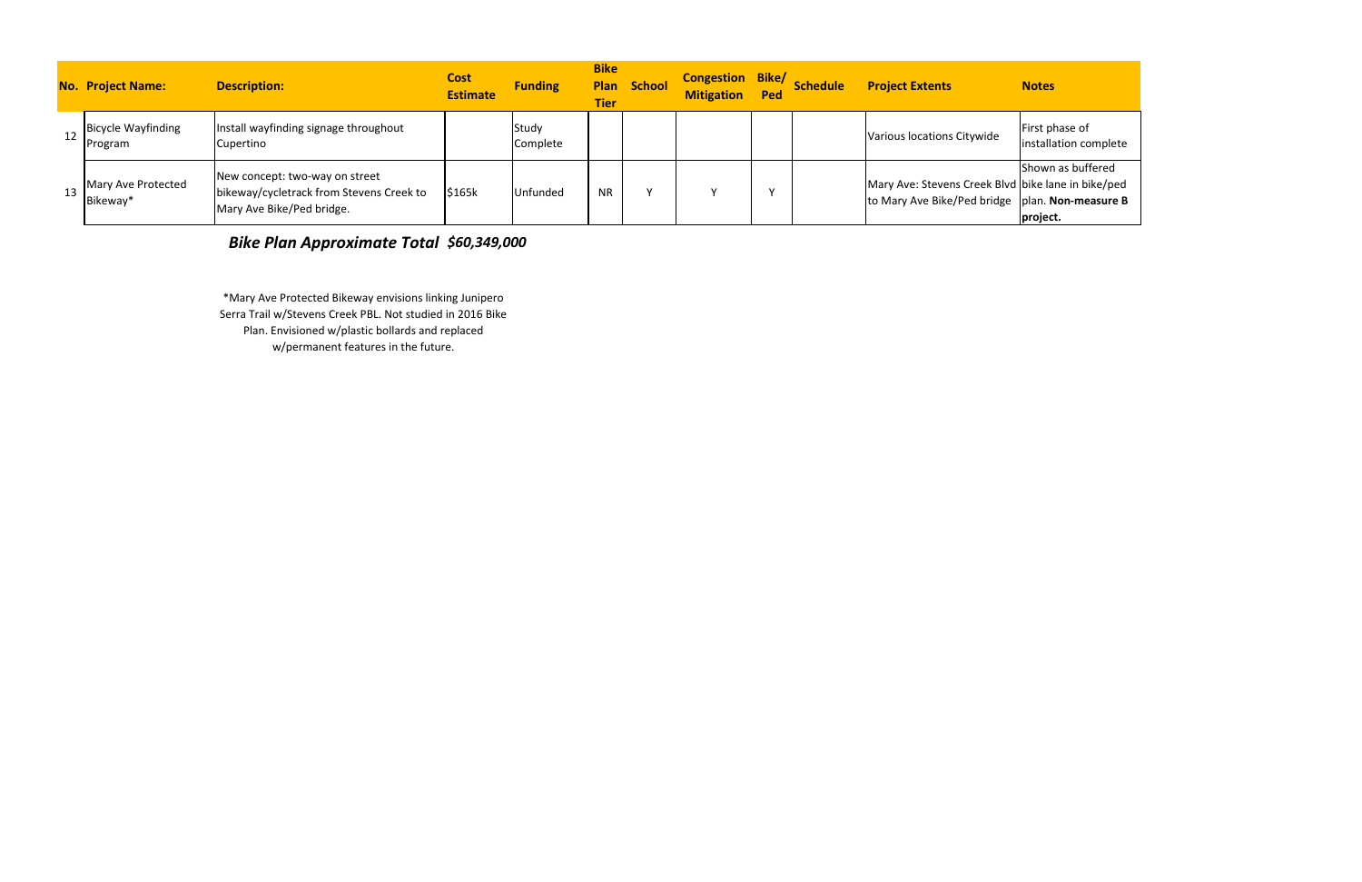|    | <b>No. Project Name:</b>             | <b>Description:</b>                                                                                     | <b>Cost</b><br><b>Estimate</b> | <b>Funding</b>    | <b>Bike</b><br><b>Tier</b> | <b>Plan School</b> | <b>Congestion Bike/</b><br><b>Mitigation</b> | Ped | <b>Schedule</b> | <b>Project Extents</b>                                                                                  | <b>Notes</b>                            |
|----|--------------------------------------|---------------------------------------------------------------------------------------------------------|--------------------------------|-------------------|----------------------------|--------------------|----------------------------------------------|-----|-----------------|---------------------------------------------------------------------------------------------------------|-----------------------------------------|
|    | <b>Bicycle Wayfinding</b><br>Program | Install wayfinding signage throughout<br>Cupertino                                                      |                                | Study<br>Complete |                            |                    |                                              |     |                 | Various locations Citywide                                                                              | First phase of<br>installation complete |
| 13 | Mary Ave Protected<br>Bikeway*       | New concept: two-way on street<br>bikeway/cycletrack from Stevens Creek to<br>Mary Ave Bike/Ped bridge. | \$165k                         | Unfunded          | <b>NR</b>                  |                    |                                              |     |                 | Mary Ave: Stevens Creek Blvd bike lane in bike/ped<br>to Mary Ave Bike/Ped bridge   plan. Non-measure B | Shown as buffered<br>project.           |

\*Mary Ave Protected Bikeway envisions linking Junipero Serra Trail w/Stevens Creek PBL. Not studied in 2016 Bike Plan. Envisioned w/plastic bollards and replaced

*Bike Plan Approximate Total \$60,349,000* 

w/permanent features in the future.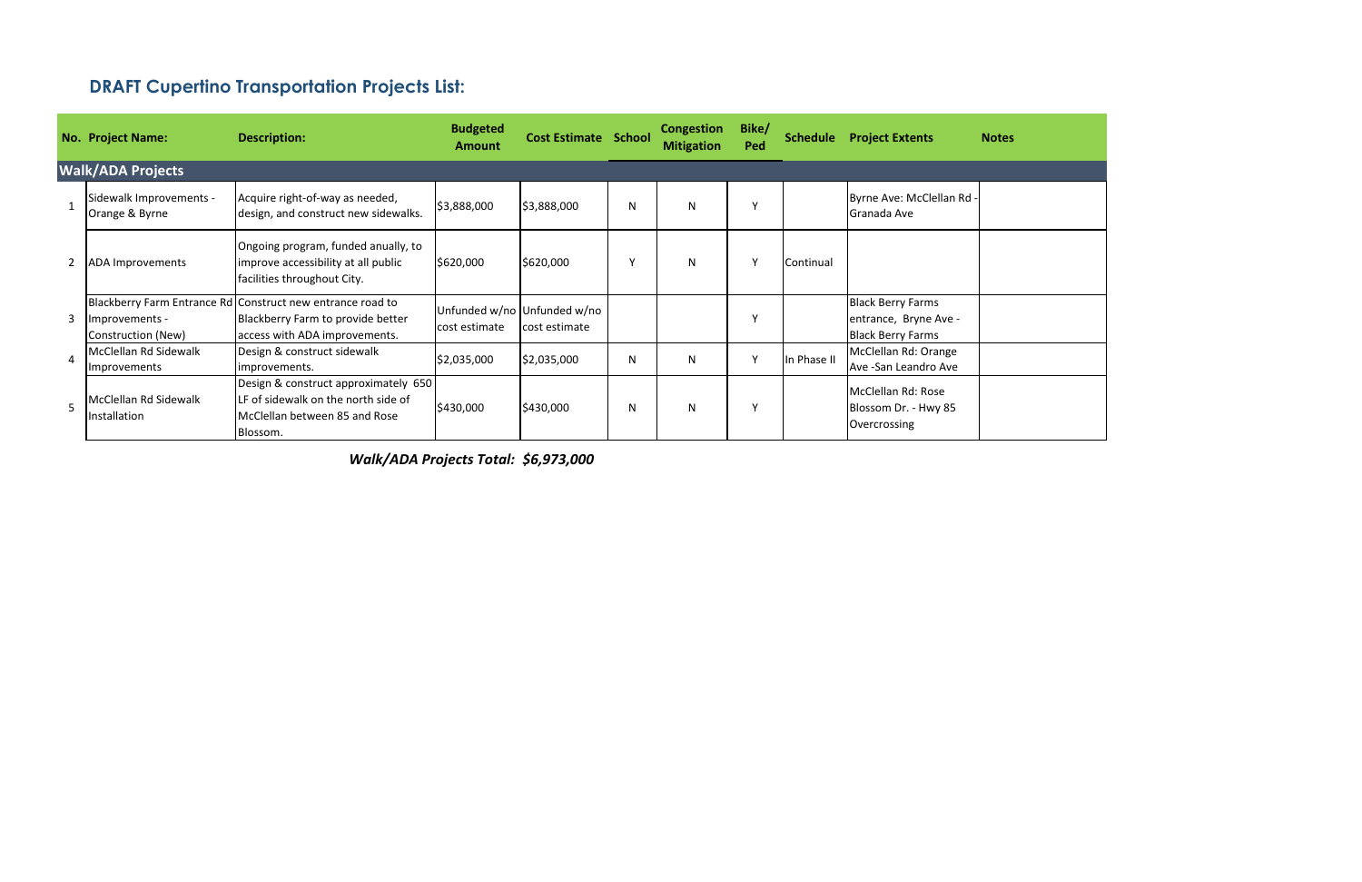|   | <b>No. Project Name:</b>                  | <b>Description:</b>                                                                                                              | <b>Budgeted</b><br><b>Amount</b>             | <b>Cost Estimate School</b> |   | <b>Congestion</b><br><b>Mitigation</b> | Bike/<br>Ped | <b>Schedule</b> | <b>Project Extents</b>                                                        | <b>Notes</b> |
|---|-------------------------------------------|----------------------------------------------------------------------------------------------------------------------------------|----------------------------------------------|-----------------------------|---|----------------------------------------|--------------|-----------------|-------------------------------------------------------------------------------|--------------|
|   | <b>Walk/ADA Projects</b>                  |                                                                                                                                  |                                              |                             |   |                                        |              |                 |                                                                               |              |
|   | Sidewalk Improvements -<br>Orange & Byrne | Acquire right-of-way as needed,<br>design, and construct new sidewalks.                                                          | \$3,888,000                                  | \$3,888,000                 | N | N                                      | v            |                 | Byrne Ave: McClellan Rd -<br>Granada Ave                                      |              |
|   | <b>ADA Improvements</b>                   | Ongoing program, funded anually, to<br>improve accessibility at all public<br>facilities throughout City.                        | \$620,000                                    | \$620,000                   |   | N                                      | Y            | Continual       |                                                                               |              |
| 3 | Improvements -<br>Construction (New)      | Blackberry Farm Entrance Rd Construct new entrance road to<br>Blackberry Farm to provide better<br>access with ADA improvements. | Unfunded w/no Unfunded w/no<br>cost estimate | cost estimate               |   |                                        | γ            |                 | <b>Black Berry Farms</b><br>entrance, Bryne Ave -<br><b>Black Berry Farms</b> |              |
| 4 | McClellan Rd Sidewalk<br>Improvements     | Design & construct sidewalk<br>improvements.                                                                                     | \$2,035,000                                  | \$2,035,000                 | N | N                                      | Y            | In Phase II     | McClellan Rd: Orange<br>Ave -San Leandro Ave                                  |              |
|   | McClellan Rd Sidewalk<br>Installation     | Design & construct approximately 650<br>LF of sidewalk on the north side of<br>McClellan between 85 and Rose<br>Blossom.         | \$430,000                                    | \$430,000                   | N | N                                      | γ            |                 | McClellan Rd: Rose<br>Blossom Dr. - Hwy 85<br>Overcrossing                    |              |

# **DRAFT Cupertino Transportation Projects List:**

*\$6,973,000 Walk/ADA Projects Total:*

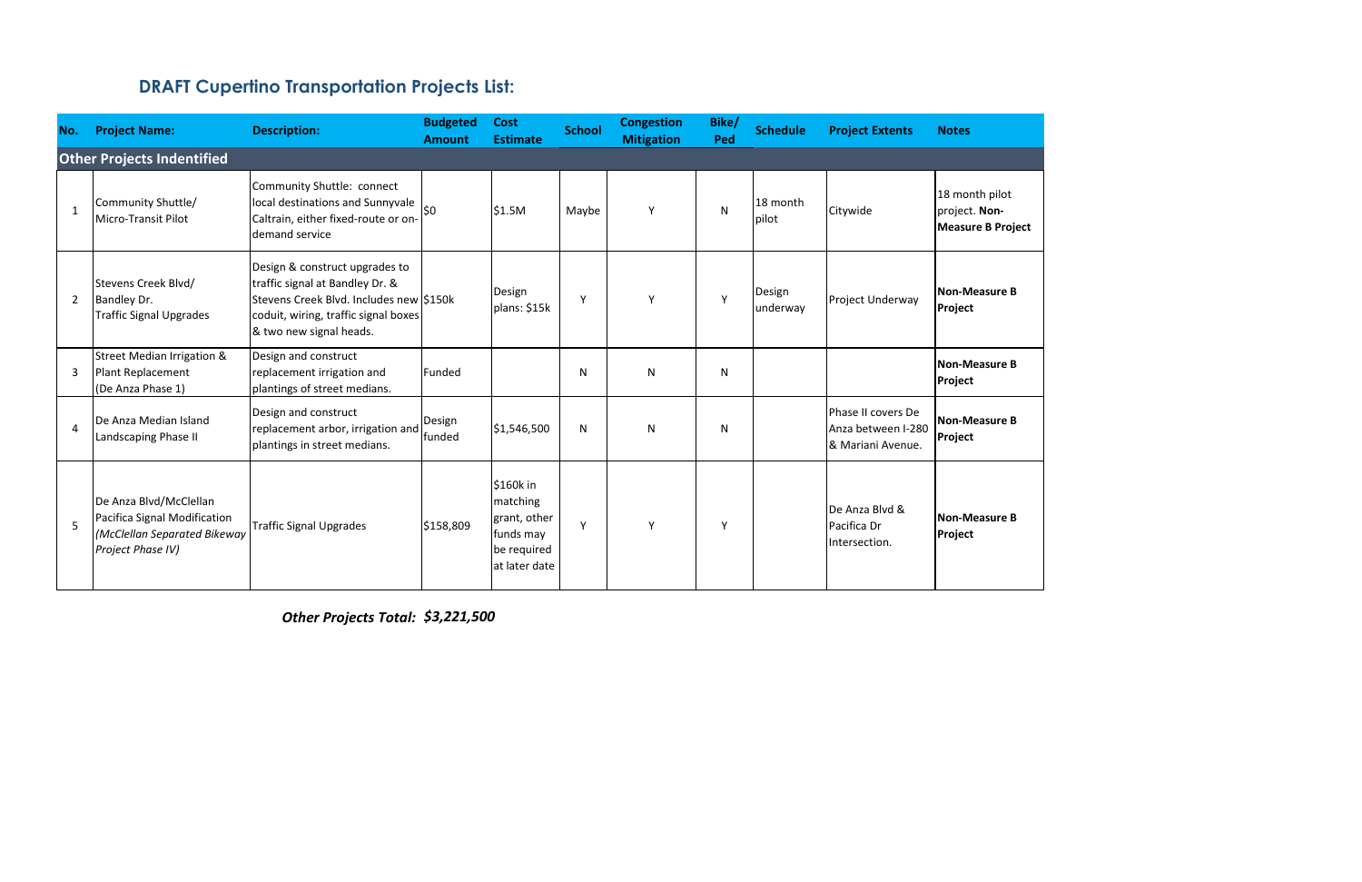| No.                    | <b>Project Name:</b>                                                                                        | <b>Description:</b>                                                                                                                                                             | <b>Budgeted</b><br><b>Amount</b> | <b>Cost</b><br><b>Estimate</b>                                                     | <b>School</b> | <b>Congestion</b><br><b>Mitigation</b> | Bike/<br>Ped | <b>Schedule</b>    | <b>Project Extents</b>                                         | <b>Notes</b>                                                |
|------------------------|-------------------------------------------------------------------------------------------------------------|---------------------------------------------------------------------------------------------------------------------------------------------------------------------------------|----------------------------------|------------------------------------------------------------------------------------|---------------|----------------------------------------|--------------|--------------------|----------------------------------------------------------------|-------------------------------------------------------------|
|                        | <b>Other Projects Indentified</b>                                                                           |                                                                                                                                                                                 |                                  |                                                                                    |               |                                        |              |                    |                                                                |                                                             |
| $\mathbf{1}$           | Community Shuttle/<br>Micro-Transit Pilot                                                                   | Community Shuttle: connect<br>local destinations and Sunnyvale<br>Caltrain, either fixed-route or on-<br>demand service                                                         | \$0                              | \$1.5M                                                                             | Maybe         | Y                                      | N            | 18 month<br>pilot  | Citywide                                                       | 18 month pilot<br>project. Non-<br><b>Measure B Project</b> |
| 2                      | Stevens Creek Blvd/<br>Bandley Dr.<br><b>Traffic Signal Upgrades</b>                                        | Design & construct upgrades to<br>traffic signal at Bandley Dr. &<br>Stevens Creek Blvd. Includes new \$150k<br>coduit, wiring, traffic signal boxes<br>& two new signal heads. |                                  | Design<br>plans: \$15k                                                             | Y             | Y                                      | $\mathsf{v}$ | Design<br>underway | Project Underway                                               | <b>Non-Measure B</b><br>Project                             |
| 3                      | Street Median Irrigation &<br>Plant Replacement<br>(De Anza Phase 1)                                        | Design and construct<br>replacement irrigation and<br>plantings of street medians.                                                                                              | Funded                           |                                                                                    | N             | N                                      | N            |                    |                                                                | <b>Non-Measure B</b><br>Project                             |
| $\boldsymbol{\Lambda}$ | De Anza Median Island<br>Landscaping Phase II                                                               | Design and construct<br>replacement arbor, irrigation and<br>plantings in street medians.                                                                                       | Design<br>funded                 | \$1,546,500                                                                        | N             | N                                      | N            |                    | Phase II covers De<br>Anza between I-280<br>l& Mariani Avenue. | <b>Non-Measure B</b><br>Project                             |
| 5                      | De Anza Blvd/McClellan<br>Pacifica Signal Modification<br>(McClellan Separated Bikeway<br>Project Phase IV) | Traffic Signal Upgrades                                                                                                                                                         | \$158,809                        | \$160k in<br>matching<br>grant, other<br>funds may<br>be required<br>at later date | Y             | Y                                      | Y            |                    | De Anza Blyd &<br>Pacifica Dr<br>Intersection.                 | <b>Non-Measure B</b><br>Project                             |

*Other Projects Total: \$3,221,500*

| ot     |
|--------|
| roject |
| e B    |
| e B    |
| e B    |
| e B    |

# **DRAFT Cupertino Transportation Projects List:**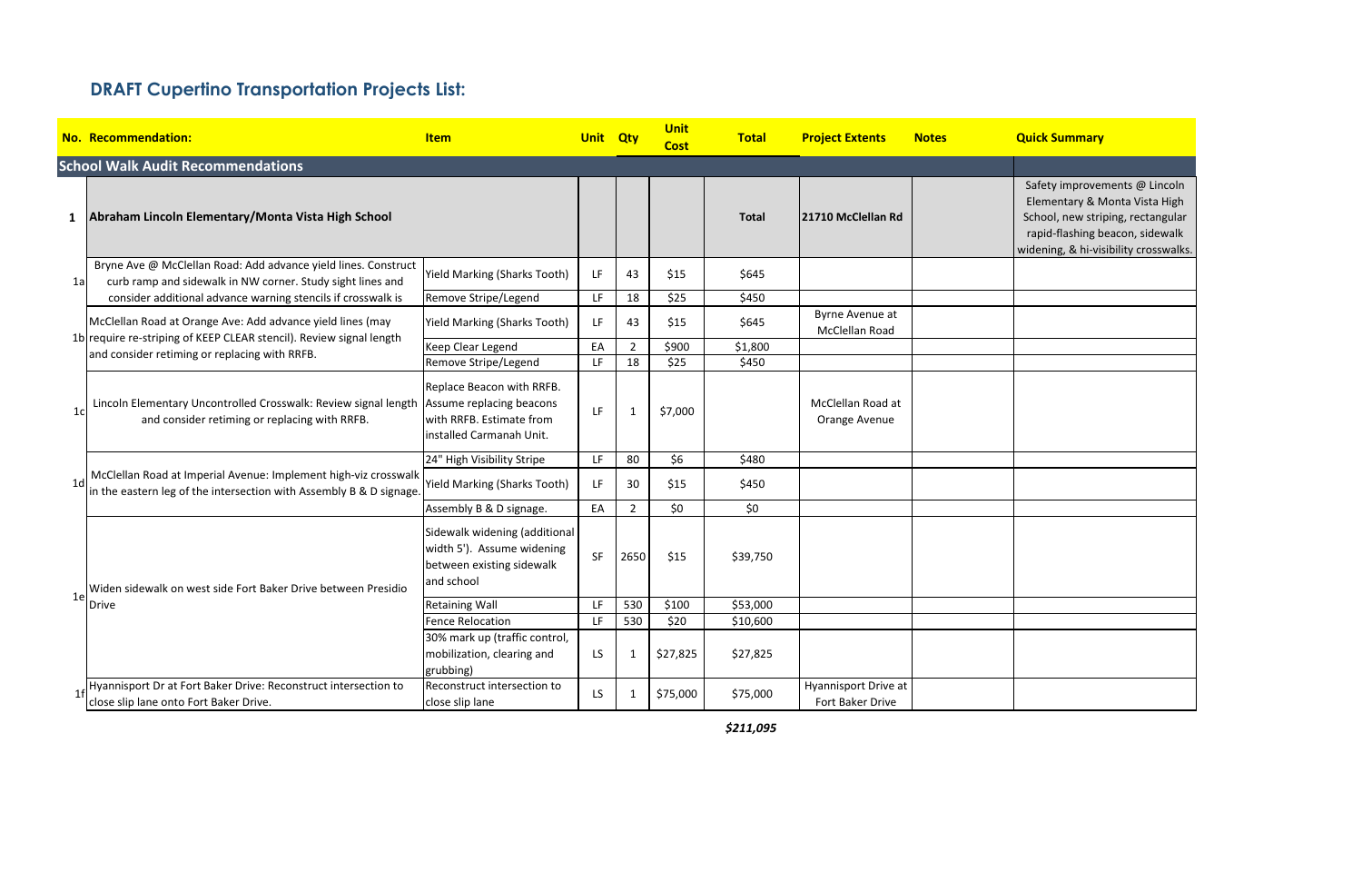Safety improvements @ Lincoln Elementary & Monta Vista High School, new striping, rectangular rapid-flashing beacon, sidewalk widening, & hi-visibility crosswalks.

|                | <b>No. Recommendation:</b>                                                                                                                | <u>Item</u>                                                                                            |           |                | <b>Unit</b><br><b>Cost</b> | <b>Total</b> | <b>Project Extents</b>                   | <b>Notes</b> |
|----------------|-------------------------------------------------------------------------------------------------------------------------------------------|--------------------------------------------------------------------------------------------------------|-----------|----------------|----------------------------|--------------|------------------------------------------|--------------|
|                | <b>School Walk Audit Recommendations</b>                                                                                                  |                                                                                                        |           |                |                            |              |                                          |              |
| $\mathbf{1}$   | Abraham Lincoln Elementary/Monta Vista High School                                                                                        |                                                                                                        |           |                |                            | <b>Total</b> | 21710 McClellan Rd                       |              |
| 1a             | Bryne Ave @ McClellan Road: Add advance yield lines. Construct<br>curb ramp and sidewalk in NW corner. Study sight lines and              | <b>Yield Marking (Sharks Tooth)</b>                                                                    | LF        | 43             | \$15                       | \$645        |                                          |              |
|                | consider additional advance warning stencils if crosswalk is                                                                              | Remove Stripe/Legend                                                                                   | LF        | 18             | \$25                       | \$450        |                                          |              |
|                | McClellan Road at Orange Ave: Add advance yield lines (may                                                                                | <b>Yield Marking (Sharks Tooth)</b>                                                                    | LF        | 43             | \$15                       | \$645        | Byrne Avenue at<br>McClellan Road        |              |
|                | 1b require re-striping of KEEP CLEAR stencil). Review signal length<br>and consider retiming or replacing with RRFB.                      | Keep Clear Legend                                                                                      | EA        | $\overline{2}$ | \$900                      | \$1,800      |                                          |              |
|                |                                                                                                                                           | Remove Stripe/Legend                                                                                   | LF        | 18             | \$25                       | \$450        |                                          |              |
| 1 <sub>c</sub> | Lincoln Elementary Uncontrolled Crosswalk: Review signal length Assume replacing beacons<br>and consider retiming or replacing with RRFB. | Replace Beacon with RRFB.<br>with RRFB. Estimate from<br>linstalled Carmanah Unit.                     | LF        | 1              | \$7,000                    |              | McClellan Road at<br>Orange Avenue       |              |
|                |                                                                                                                                           | 24" High Visibility Stripe                                                                             | LF        | 80             | \$6                        | \$480        |                                          |              |
| 1 <sub>d</sub> | McClellan Road at Imperial Avenue: Implement high-viz crosswalk<br>in the eastern leg of the intersection with Assembly B & D signage.    | <b>Yield Marking (Sharks Tooth)</b>                                                                    | LF        | 30             | \$15                       | \$450        |                                          |              |
|                |                                                                                                                                           | Assembly B & D signage.                                                                                | EA        | $\overline{2}$ | \$0                        | \$0          |                                          |              |
|                | Widen sidewalk on west side Fort Baker Drive between Presidio                                                                             | Sidewalk widening (additional<br>width 5'). Assume widening<br>between existing sidewalk<br>and school | <b>SF</b> | 2650           | \$15                       | \$39,750     |                                          |              |
| 1e             | Drive                                                                                                                                     | <b>Retaining Wall</b>                                                                                  | LF        | 530            | \$100                      | \$53,000     |                                          |              |
|                |                                                                                                                                           | <b>Fence Relocation</b>                                                                                | LF        | 530            | \$20                       | \$10,600     |                                          |              |
|                |                                                                                                                                           | 30% mark up (traffic control,<br>mobilization, clearing and<br>grubbing)                               | <b>LS</b> | 1              | \$27,825                   | \$27,825     |                                          |              |
| 1 <sup>f</sup> | Hyannisport Dr at Fort Baker Drive: Reconstruct intersection to<br>close slip lane onto Fort Baker Drive.                                 | Reconstruct intersection to<br>close slip lane                                                         | LS        | 1              | \$75,000                   | \$75,000     | Hyannisport Drive at<br>Fort Baker Drive |              |

*\$211,095*

### **Adduick Summary**

### **DRAFT Cupertino Transportation Projects List:**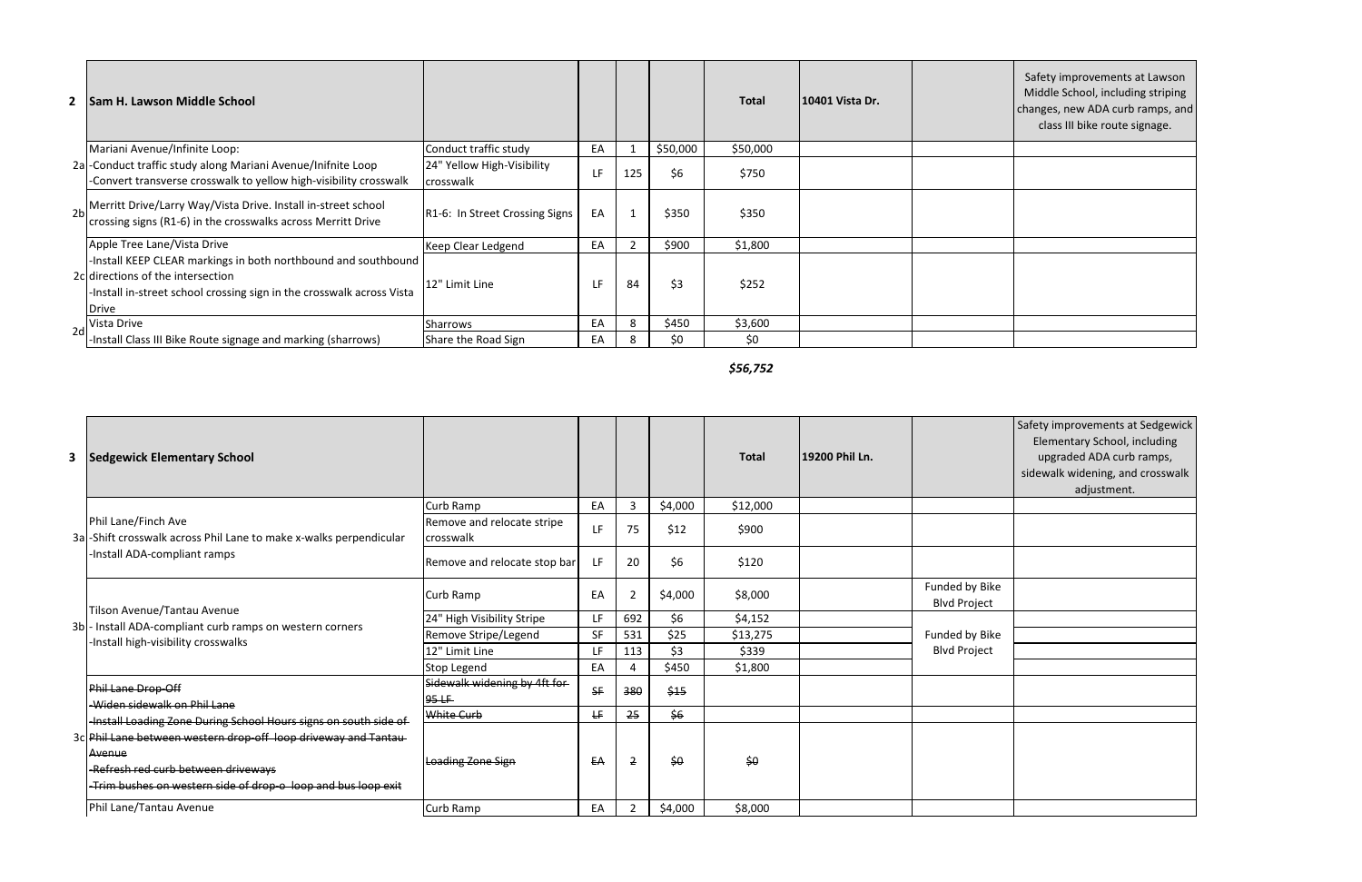*\$56,752*

|                | 2   Sam H. Lawson Middle School                                                                                                                                                              |                                         |    |     |          | <b>Total</b> | 10401 Vista Dr. | Safety improvements at Lawson<br>Middle School, including striping<br>changes, new ADA curb ramps, and<br>class III bike route signage. |
|----------------|----------------------------------------------------------------------------------------------------------------------------------------------------------------------------------------------|-----------------------------------------|----|-----|----------|--------------|-----------------|-----------------------------------------------------------------------------------------------------------------------------------------|
|                | Mariani Avenue/Infinite Loop:                                                                                                                                                                | Conduct traffic study                   | EA |     | \$50,000 | \$50,000     |                 |                                                                                                                                         |
|                | 2a -Conduct traffic study along Mariani Avenue/Inifnite Loop<br>-Convert transverse crosswalk to yellow high-visibility crosswalk                                                            | 24" Yellow High-Visibility<br>crosswalk | LF | 125 | \$6      | \$750        |                 |                                                                                                                                         |
| 2 <sub>b</sub> | Merritt Drive/Larry Way/Vista Drive. Install in-street school<br>crossing signs (R1-6) in the crosswalks across Merritt Drive                                                                | R1-6: In Street Crossing Signs          | EA |     | \$350    | \$350        |                 |                                                                                                                                         |
|                | Apple Tree Lane/Vista Drive                                                                                                                                                                  | Keep Clear Ledgend                      | EA |     | \$900    | \$1,800      |                 |                                                                                                                                         |
|                | -Install KEEP CLEAR markings in both northbound and southbound<br>2c directions of the intersection<br>-Install in-street school crossing sign in the crosswalk across Vista<br><b>Drive</b> | 12" Limit Line                          | LF | 84  | \$3      | \$252        |                 |                                                                                                                                         |
| 2d             | Vista Drive                                                                                                                                                                                  | Sharrows                                | EA | 8   | \$450    | \$3,600      |                 |                                                                                                                                         |
|                | -Install Class III Bike Route signage and marking (sharrows)                                                                                                                                 | Share the Road Sign                     | EA |     | \$0      | \$0          |                 |                                                                                                                                         |

|                | <b>3</b> Sedgewick Elementary School                                                                                                                                             |                                          |     |                |         | <b>Total</b> | 19200 Phil Ln. |                                       | Safety improvements at Sedgewick<br>Elementary School, including<br>upgraded ADA curb ramps,<br>sidewalk widening, and crosswalk<br>adjustment. |
|----------------|----------------------------------------------------------------------------------------------------------------------------------------------------------------------------------|------------------------------------------|-----|----------------|---------|--------------|----------------|---------------------------------------|-------------------------------------------------------------------------------------------------------------------------------------------------|
|                |                                                                                                                                                                                  | Curb Ramp                                | EA  | $\overline{3}$ | \$4,000 | \$12,000     |                |                                       |                                                                                                                                                 |
|                | Phil Lane/Finch Ave<br>3a -Shift crosswalk across Phil Lane to make x-walks perpendicular                                                                                        | Remove and relocate stripe<br>crosswalk  | LF. | 75             | \$12    | \$900        |                |                                       |                                                                                                                                                 |
|                | -Install ADA-compliant ramps                                                                                                                                                     | Remove and relocate stop bar             | LF  | 20             | \$6     | \$120        |                |                                       |                                                                                                                                                 |
|                |                                                                                                                                                                                  | Curb Ramp                                | EA  | $\overline{2}$ | \$4,000 | \$8,000      |                | Funded by Bike<br><b>Blvd Project</b> |                                                                                                                                                 |
|                | Tilson Avenue/Tantau Avenue                                                                                                                                                      | 24" High Visibility Stripe               | LF. | 692            | \$6     | \$4,152      |                |                                       |                                                                                                                                                 |
| 3 <sub>b</sub> | - Install ADA-compliant curb ramps on western corners<br>-Install high-visibility crosswalks                                                                                     | Remove Stripe/Legend                     | SF  | 531            | \$25    | \$13,275     |                | Funded by Bike                        |                                                                                                                                                 |
|                |                                                                                                                                                                                  | 12" Limit Line                           | LF. | 113            | \$3     | \$339        |                | <b>Blvd Project</b>                   |                                                                                                                                                 |
|                |                                                                                                                                                                                  | Stop Legend                              | EA  | 4              | \$450   | \$1,800      |                |                                       |                                                                                                                                                 |
|                | Phil Lane Drop-Off<br>-Widen sidewalk on Phil Lane                                                                                                                               | Sidewalk widening by 4ft for<br>$95 - F$ | SF  | 380            | \$15    |              |                |                                       |                                                                                                                                                 |
|                | -Install Loading Zone During School Hours signs on south side of                                                                                                                 | White Curb                               | ₩.  | 25             | \$6     |              |                |                                       |                                                                                                                                                 |
|                | 3c Phil Lane between western drop-off loop driveway and Tantau<br>Avenue<br>-Refresh red curb between driveways<br>-Trim bushes on western side of drop-o loop and bus loop exit | Loading Zone Sign                        | EA  | $\overline{2}$ | \$0     | \$0          |                |                                       |                                                                                                                                                 |
|                | Phil Lane/Tantau Avenue                                                                                                                                                          | Curb Ramp                                | EA  | $\overline{2}$ | \$4,000 | \$8,000      |                |                                       |                                                                                                                                                 |
|                |                                                                                                                                                                                  |                                          |     |                |         |              |                |                                       |                                                                                                                                                 |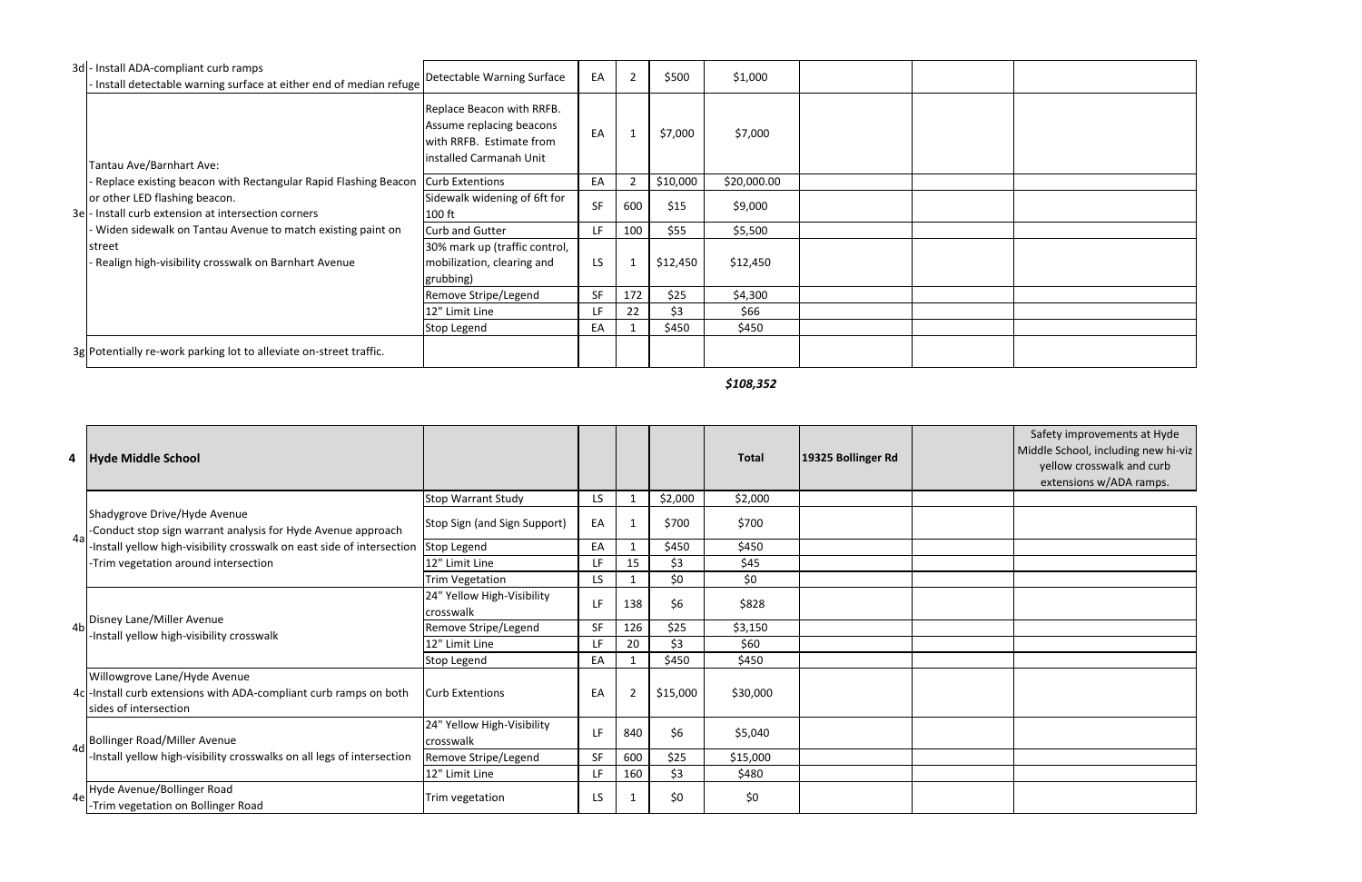*\$108,352*

| 3d - Install ADA-compliant curb ramps<br>Install detectable warning surface at either end of median refuge | Detectable Warning Surface                                                                                   | EA  | $\overline{2}$ | \$500    | \$1,000     |  |  |
|------------------------------------------------------------------------------------------------------------|--------------------------------------------------------------------------------------------------------------|-----|----------------|----------|-------------|--|--|
| Tantau Ave/Barnhart Ave:                                                                                   | Replace Beacon with RRFB.<br>Assume replacing beacons<br>with RRFB. Estimate from<br>installed Carmanah Unit | EA  |                | \$7,000  | \$7,000     |  |  |
| Replace existing beacon with Rectangular Rapid Flashing Beacon   Curb Extentions                           |                                                                                                              | EA  | $\overline{2}$ | \$10,000 | \$20,000.00 |  |  |
| or other LED flashing beacon.<br>3e - Install curb extension at intersection corners                       | Sidewalk widening of 6ft for<br>$100$ ft                                                                     | SF  | 600            | \$15     | \$9,000     |  |  |
| Widen sidewalk on Tantau Avenue to match existing paint on                                                 | <b>Curb and Gutter</b>                                                                                       | LF. | 100            | \$55     | \$5,500     |  |  |
| street<br>Realign high-visibility crosswalk on Barnhart Avenue                                             | 30% mark up (traffic control,<br>mobilization, clearing and<br>grubbing)                                     | LS  | $\mathbf{1}$   | \$12,450 | \$12,450    |  |  |
|                                                                                                            | Remove Stripe/Legend                                                                                         | SF  | 172            | \$25     | \$4,300     |  |  |
|                                                                                                            | 12" Limit Line                                                                                               | LF  | 22             | \$3      | \$66        |  |  |
|                                                                                                            | Stop Legend                                                                                                  | EA  |                | \$450    | \$450       |  |  |
| 3g Potentially re-work parking lot to alleviate on-street traffic.                                         |                                                                                                              |     |                |          |             |  |  |

|    | 4 Hyde Middle School                                                                                                        |                                         |           |                |          | <b>Total</b> | 19325 Bollinger Rd | Safety improvements at Hyde<br>Middle School, including new hi-viz<br>yellow crosswalk and curb<br>extensions w/ADA ramps. |
|----|-----------------------------------------------------------------------------------------------------------------------------|-----------------------------------------|-----------|----------------|----------|--------------|--------------------|----------------------------------------------------------------------------------------------------------------------------|
|    |                                                                                                                             | <b>Stop Warrant Study</b>               | LS        |                | \$2,000  | \$2,000      |                    |                                                                                                                            |
| 4a | Shadygrove Drive/Hyde Avenue<br>-Conduct stop sign warrant analysis for Hyde Avenue approach                                | <b>Stop Sign (and Sign Support)</b>     | EA        |                | \$700    | \$700        |                    |                                                                                                                            |
|    | -Install yellow high-visibility crosswalk on east side of intersection                                                      | Stop Legend                             | EA        |                | \$450    | \$450        |                    |                                                                                                                            |
|    | -Trim vegetation around intersection                                                                                        | 12" Limit Line                          | LF        | 15             | \$3      | \$45         |                    |                                                                                                                            |
|    |                                                                                                                             | Trim Vegetation                         | LS.       |                | \$0      | \$0          |                    |                                                                                                                            |
|    |                                                                                                                             | 24" Yellow High-Visibility<br>crosswalk | LF        | 138            | \$6      | \$828        |                    |                                                                                                                            |
|    | Disney Lane/Miller Avenue<br>-Install yellow high-visibility crosswalk                                                      | Remove Stripe/Legend                    | <b>SF</b> | 126            | \$25     | \$3,150      |                    |                                                                                                                            |
|    |                                                                                                                             | 12" Limit Line                          | LF        | 20             | \$3      | \$60         |                    |                                                                                                                            |
|    |                                                                                                                             | Stop Legend                             | EA        |                | \$450    | \$450        |                    |                                                                                                                            |
|    | Willowgrove Lane/Hyde Avenue<br>4c - Install curb extensions with ADA-compliant curb ramps on both<br>sides of intersection | <b>Curb Extentions</b>                  | EA        | $\overline{2}$ | \$15,000 | \$30,000     |                    |                                                                                                                            |
|    | 4d Bollinger Road/Miller Avenue                                                                                             | 24" Yellow High-Visibility<br>crosswalk | LF.       | 840            | \$6      | \$5,040      |                    |                                                                                                                            |
|    | -Install yellow high-visibility crosswalks on all legs of intersection                                                      | Remove Stripe/Legend                    | <b>SF</b> | 600            | \$25     | \$15,000     |                    |                                                                                                                            |
|    |                                                                                                                             | 12" Limit Line                          | LF        | 160            | \$3      | \$480        |                    |                                                                                                                            |
| 4e | Hyde Avenue/Bollinger Road<br>-Trim vegetation on Bollinger Road                                                            | Trim vegetation                         | LS        |                | \$0      | \$0          |                    |                                                                                                                            |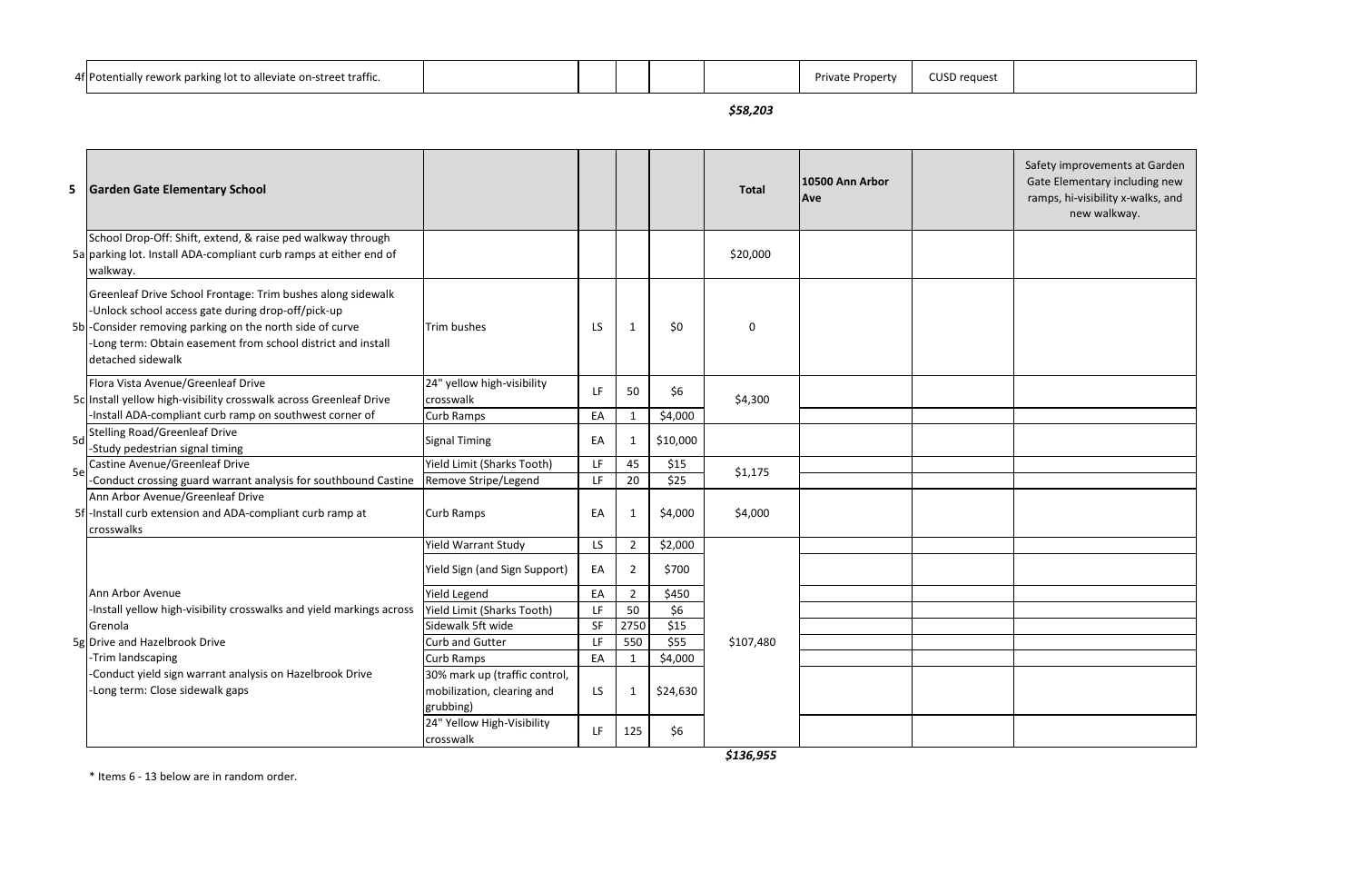| 4f Potentially rework parking lot to alleviate on-street traffic. |  |  | Private<br>: Property | <b>CUSD request</b> |
|-------------------------------------------------------------------|--|--|-----------------------|---------------------|
|                                                                   |  |  |                       |                     |

*\$58,203*

|    | 5 Garden Gate Elementary School                                                                                                                                                                                                                                     |                                                                          |           |                              |                     | <b>Total</b> | 10500 Ann Arbor<br><b>Ave</b> | Safety improvements at Garden<br>Gate Elementary including new<br>ramps, hi-visibility x-walks, and<br>new walkway. |
|----|---------------------------------------------------------------------------------------------------------------------------------------------------------------------------------------------------------------------------------------------------------------------|--------------------------------------------------------------------------|-----------|------------------------------|---------------------|--------------|-------------------------------|---------------------------------------------------------------------------------------------------------------------|
|    | School Drop-Off: Shift, extend, & raise ped walkway through<br>5a parking lot. Install ADA-compliant curb ramps at either end of<br>walkway.                                                                                                                        |                                                                          |           |                              |                     | \$20,000     |                               |                                                                                                                     |
|    | Greenleaf Drive School Frontage: Trim bushes along sidewalk<br>-Unlock school access gate during drop-off/pick-up<br>5b - Consider removing parking on the north side of curve<br>-Long term: Obtain easement from school district and install<br>detached sidewalk | Trim bushes                                                              | <b>LS</b> | $\mathbf 1$                  | \$0                 | 0            |                               |                                                                                                                     |
|    | Flora Vista Avenue/Greenleaf Drive<br>5c Install yellow high-visibility crosswalk across Greenleaf Drive                                                                                                                                                            | 24" yellow high-visibility<br>crosswalk                                  | LF.       | 50                           | \$6                 | \$4,300      |                               |                                                                                                                     |
|    | -Install ADA-compliant curb ramp on southwest corner of<br>Sd Stelling Road/Greenleaf Drive<br>-Study pedestrian signal timing                                                                                                                                      | Curb Ramps<br><b>Signal Timing</b>                                       | EA<br>EA  | $\mathbf{1}$<br>$\mathbf{1}$ | \$4,000<br>\$10,000 |              |                               |                                                                                                                     |
| 5e | Castine Avenue/Greenleaf Drive                                                                                                                                                                                                                                      | Yield Limit (Sharks Tooth)                                               | LF.       | 45                           | \$15                | \$1,175      |                               |                                                                                                                     |
|    | -Conduct crossing guard warrant analysis for southbound Castine                                                                                                                                                                                                     | Remove Stripe/Legend                                                     | LF.       | 20                           | \$25                |              |                               |                                                                                                                     |
|    | Ann Arbor Avenue/Greenleaf Drive<br>5f - Install curb extension and ADA-compliant curb ramp at<br>crosswalks                                                                                                                                                        | <b>Curb Ramps</b>                                                        | EA        | $\mathbf{1}$                 | \$4,000             | \$4,000      |                               |                                                                                                                     |
|    |                                                                                                                                                                                                                                                                     | <b>Yield Warrant Study</b>                                               | LS.       | $\overline{2}$               | \$2,000             |              |                               |                                                                                                                     |
|    |                                                                                                                                                                                                                                                                     | Yield Sign (and Sign Support)                                            | EA        | $\overline{2}$               | \$700               |              |                               |                                                                                                                     |
|    | Ann Arbor Avenue                                                                                                                                                                                                                                                    | Yield Legend                                                             | EA        | $\overline{2}$               | \$450               |              |                               |                                                                                                                     |
|    | -Install yellow high-visibility crosswalks and yield markings across                                                                                                                                                                                                | Yield Limit (Sharks Tooth)                                               | LF.       | 50                           | \$6                 |              |                               |                                                                                                                     |
|    | Grenola                                                                                                                                                                                                                                                             | Sidewalk 5ft wide                                                        | SF        | 2750                         | \$15                |              |                               |                                                                                                                     |
|    | 5g Drive and Hazelbrook Drive                                                                                                                                                                                                                                       | Curb and Gutter                                                          | LF        | 550                          | \$55                | \$107,480    |                               |                                                                                                                     |
|    | -Trim landscaping                                                                                                                                                                                                                                                   | Curb Ramps                                                               | EA        | $\mathbf{1}$                 | \$4,000             |              |                               |                                                                                                                     |
|    | -Conduct yield sign warrant analysis on Hazelbrook Drive<br>-Long term: Close sidewalk gaps                                                                                                                                                                         | 30% mark up (traffic control,<br>mobilization, clearing and<br>grubbing) | LS        | $\mathbf{1}$                 | \$24,630            |              |                               |                                                                                                                     |
|    |                                                                                                                                                                                                                                                                     | 24" Yellow High-Visibility<br>crosswalk                                  | LF.       | 125                          | \$6                 |              |                               |                                                                                                                     |

*\$136,955*

\* Items 6 - 13 below are in random order.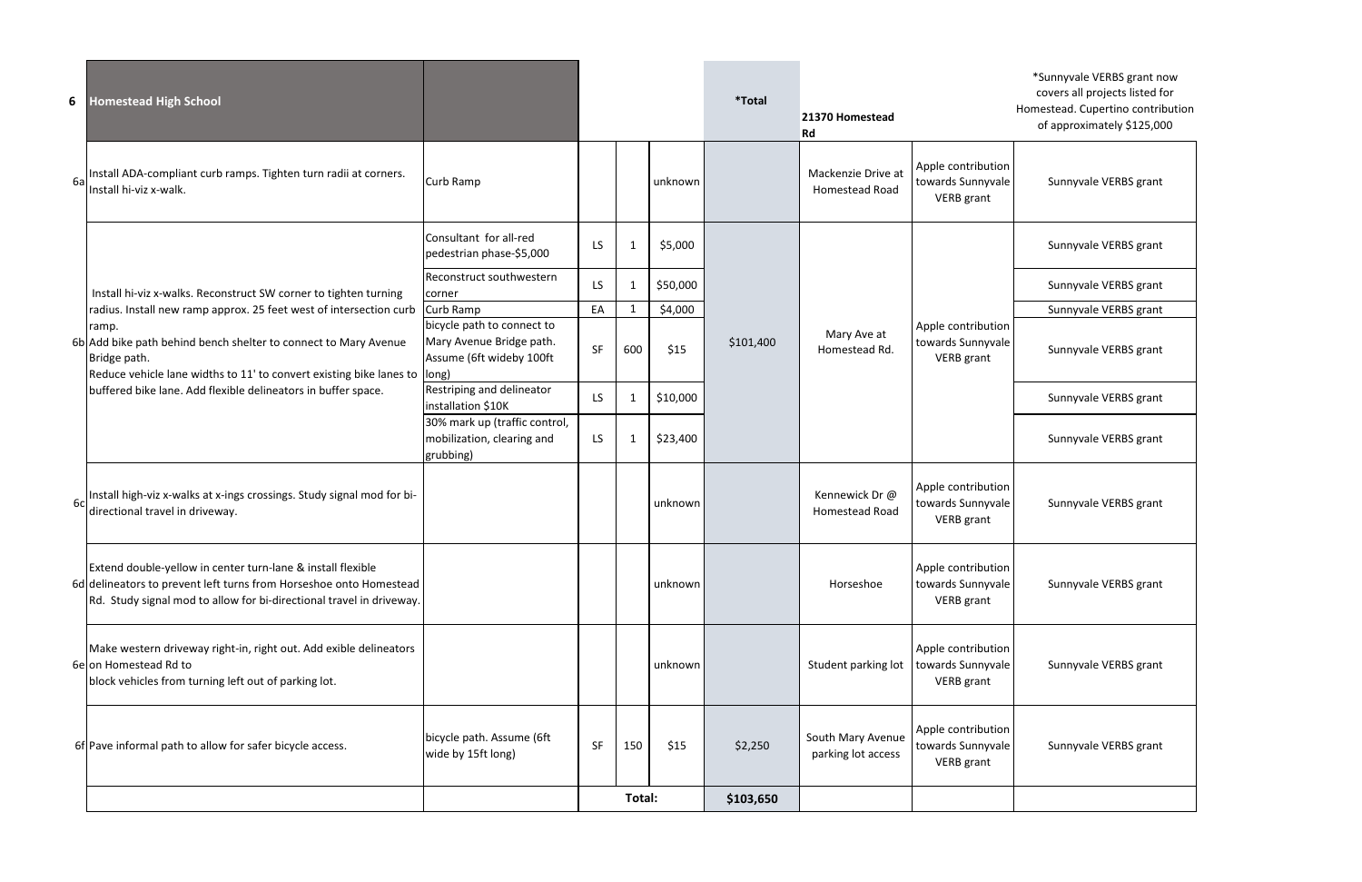| 6  | <b>Homestead High School</b>                                                                                                                                                                              |                                                                          |     |        |          | <i><b>*Total</b></i> | 21370 Homestead<br>Rd                       |                                                              | *Sunnyvale VERBS grant now<br>covers all projects listed for<br>Homestead. Cupertino contribution<br>of approximately \$125,000 |
|----|-----------------------------------------------------------------------------------------------------------------------------------------------------------------------------------------------------------|--------------------------------------------------------------------------|-----|--------|----------|----------------------|---------------------------------------------|--------------------------------------------------------------|---------------------------------------------------------------------------------------------------------------------------------|
| 6a | Install ADA-compliant curb ramps. Tighten turn radii at corners.<br>Install hi-viz x-walk.                                                                                                                | Curb Ramp                                                                |     |        | unknown  |                      | Mackenzie Drive at<br><b>Homestead Road</b> | Apple contribution<br>towards Sunnyvale<br><b>VERB</b> grant | Sunnyvale VERBS grant                                                                                                           |
|    |                                                                                                                                                                                                           | Consultant for all-red<br>pedestrian phase-\$5,000                       | LS. | -1     | \$5,000  |                      |                                             |                                                              | Sunnyvale VERBS grant                                                                                                           |
|    | Install hi-viz x-walks. Reconstruct SW corner to tighten turning                                                                                                                                          | Reconstruct southwestern<br>corner                                       | LS  |        | \$50,000 |                      |                                             |                                                              | Sunnyvale VERBS grant                                                                                                           |
|    | radius. Install new ramp approx. 25 feet west of intersection curb<br>ramp.                                                                                                                               | Curb Ramp<br>bicycle path to connect to                                  | EA  |        | \$4,000  |                      |                                             | Apple contribution                                           | Sunnyvale VERBS grant                                                                                                           |
|    | 6b Add bike path behind bench shelter to connect to Mary Avenue<br>Bridge path.<br>Reduce vehicle lane widths to 11' to convert existing bike lanes to                                                    | Mary Avenue Bridge path.<br>Assume (6ft wideby 100ft<br>long)            | SF  | 600    | \$15     | \$101,400            | Mary Ave at<br>Homestead Rd.                | towards Sunnyvale<br><b>VERB</b> grant                       | Sunnyvale VERBS grant                                                                                                           |
|    | buffered bike lane. Add flexible delineators in buffer space.                                                                                                                                             | Restriping and delineator<br>installation \$10K                          | LS. | -1     | \$10,000 |                      |                                             |                                                              | Sunnyvale VERBS grant                                                                                                           |
|    |                                                                                                                                                                                                           | 30% mark up (traffic control,<br>mobilization, clearing and<br>grubbing) | LS. |        | \$23,400 |                      |                                             |                                                              | Sunnyvale VERBS grant                                                                                                           |
| 6c | Install high-viz x-walks at x-ings crossings. Study signal mod for bi-<br>directional travel in driveway.                                                                                                 |                                                                          |     |        | unknown  |                      | Kennewick Dr@<br><b>Homestead Road</b>      | Apple contribution<br>towards Sunnyvale<br><b>VERB</b> grant | Sunnyvale VERBS grant                                                                                                           |
|    | Extend double-yellow in center turn-lane & install flexible<br>6d delineators to prevent left turns from Horseshoe onto Homestead<br>Rd. Study signal mod to allow for bi-directional travel in driveway. |                                                                          |     |        | unknown  |                      | Horseshoe                                   | Apple contribution<br>towards Sunnyvale<br><b>VERB</b> grant | Sunnyvale VERBS grant                                                                                                           |
|    | Make western driveway right-in, right out. Add exible delineators<br>6e on Homestead Rd to<br>block vehicles from turning left out of parking lot.                                                        |                                                                          |     |        | unknown  |                      | Student parking lot                         | Apple contribution<br>towards Sunnyvale<br><b>VERB</b> grant | Sunnyvale VERBS grant                                                                                                           |
|    | 6f Pave informal path to allow for safer bicycle access.                                                                                                                                                  | bicycle path. Assume (6ft<br>wide by 15ft long)                          | SF  | 150    | \$15     | \$2,250              | South Mary Avenue<br>parking lot access     | Apple contribution<br>towards Sunnyvale<br><b>VERB</b> grant | Sunnyvale VERBS grant                                                                                                           |
|    |                                                                                                                                                                                                           |                                                                          |     | Total: |          | \$103,650            |                                             |                                                              |                                                                                                                                 |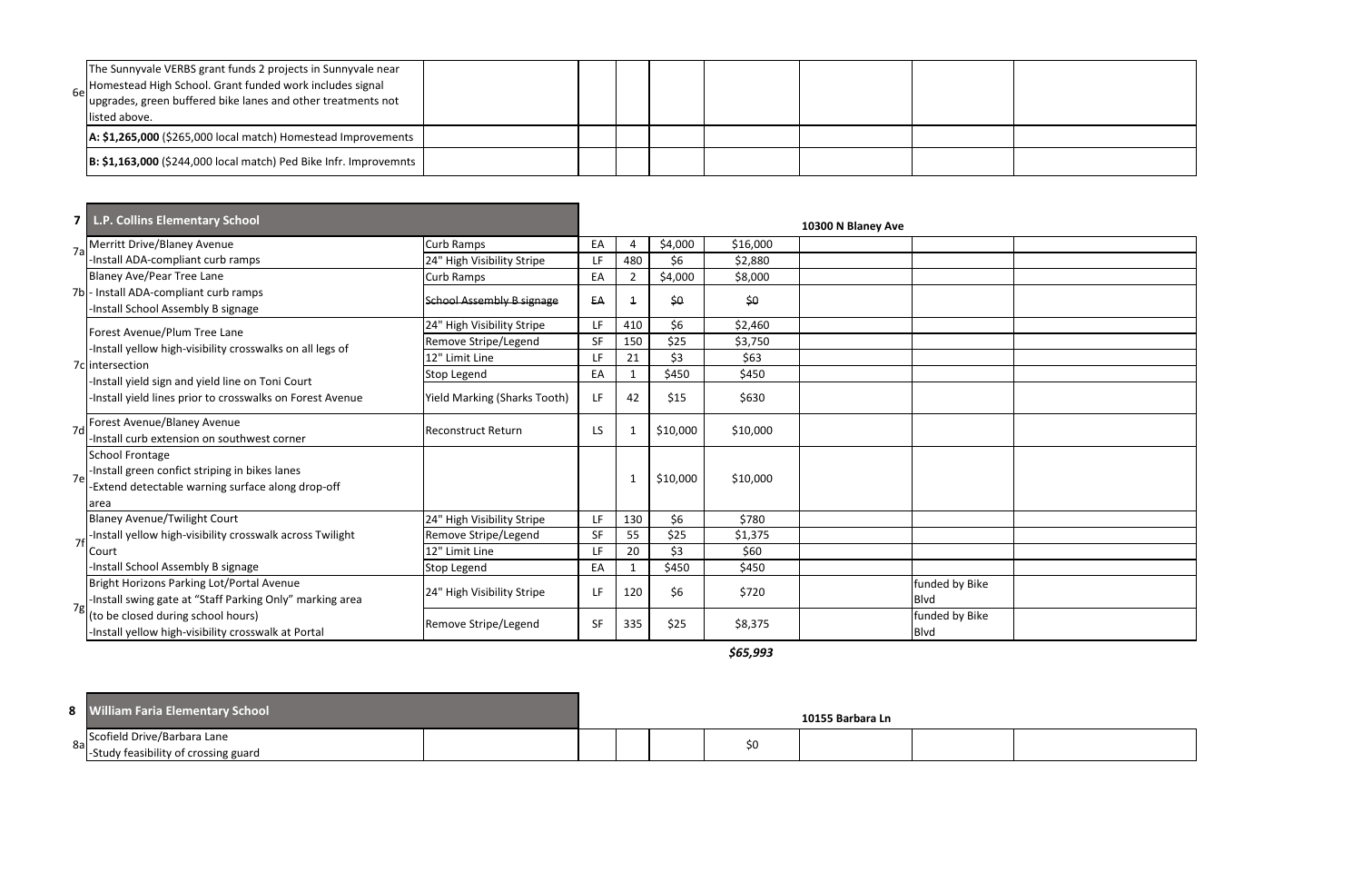| The Sunnyvale VERBS grant funds 2 projects in Sunnyvale near<br>6e Homestead High School. Grant funded work includes signal<br>upgrades, green buffered bike lanes and other treatments not<br>listed above. |  |  |  |  |
|--------------------------------------------------------------------------------------------------------------------------------------------------------------------------------------------------------------|--|--|--|--|
| A: \$1,265,000 (\$265,000 local match) Homestead Improvements                                                                                                                                                |  |  |  |  |
| B: \$1,163,000 (\$244,000 local match) Ped Bike Infr. Improvemnts                                                                                                                                            |  |  |  |  |

| 7 I | L.P. Collins Elementary School                                                                                                        |                                  |           |                |               |          | 10300 N Blaney Ave |                               |  |
|-----|---------------------------------------------------------------------------------------------------------------------------------------|----------------------------------|-----------|----------------|---------------|----------|--------------------|-------------------------------|--|
| 7a  | Merritt Drive/Blaney Avenue                                                                                                           | Curb Ramps                       | EA        | -4             | \$4,000       | \$16,000 |                    |                               |  |
|     | -Install ADA-compliant curb ramps                                                                                                     | 24" High Visibility Stripe       | LF        | 480            | \$6           | \$2,880  |                    |                               |  |
|     | Blaney Ave/Pear Tree Lane                                                                                                             | Curb Ramps                       | EA        | $\overline{2}$ | \$4,000       | \$8,000  |                    |                               |  |
|     | 7b - Install ADA-compliant curb ramps<br>-Install School Assembly B signage                                                           | <b>School Assembly B signage</b> | EA        | $\overline{1}$ | $\frac{6}{2}$ | \$0      |                    |                               |  |
|     | Forest Avenue/Plum Tree Lane                                                                                                          | 24" High Visibility Stripe       | LF.       | 410            | \$6           | \$2,460  |                    |                               |  |
|     | -Install yellow high-visibility crosswalks on all legs of                                                                             | Remove Stripe/Legend             | <b>SF</b> | 150            | \$25          | \$3,750  |                    |                               |  |
|     | 7c intersection                                                                                                                       | 12" Limit Line                   | LF        | 21             | \$3           | \$63     |                    |                               |  |
|     | Install yield sign and yield line on Toni Court                                                                                       | Stop Legend                      | EA        |                | \$450         | \$450    |                    |                               |  |
|     | Install yield lines prior to crosswalks on Forest Avenue                                                                              | Yield Marking (Sharks Tooth)     | LF        | 42             | \$15          | \$630    |                    |                               |  |
| 7d  | Forest Avenue/Blaney Avenue<br>-Install curb extension on southwest corner                                                            | Reconstruct Return               | LS        |                | \$10,000      | \$10,000 |                    |                               |  |
| 7e  | <b>School Frontage</b><br>-Install green confict striping in bikes lanes<br>-Extend detectable warning surface along drop-off<br>area |                                  |           |                | \$10,000      | \$10,000 |                    |                               |  |
|     | <b>Blaney Avenue/Twilight Court</b>                                                                                                   | 24" High Visibility Stripe       | LF        | 130            | \$6           | \$780    |                    |                               |  |
| 7f  | -Install yellow high-visibility crosswalk across Twilight                                                                             | Remove Stripe/Legend             | <b>SF</b> | 55             | \$25          | \$1,375  |                    |                               |  |
|     | Court                                                                                                                                 | 12" Limit Line                   | LF        | 20             | \$3           | \$60     |                    |                               |  |
|     | -Install School Assembly B signage                                                                                                    | Stop Legend                      | EA        |                | \$450         | \$450    |                    |                               |  |
|     | Bright Horizons Parking Lot/Portal Avenue<br>-Install swing gate at "Staff Parking Only" marking area                                 | 24" High Visibility Stripe       | LF        | 120            | \$6           | \$720    |                    | funded by Bike<br><b>Blvd</b> |  |
|     | (to be closed during school hours)<br>-Install yellow high-visibility crosswalk at Portal                                             | Remove Stripe/Legend             | <b>SF</b> | 335            | \$25          | \$8,375  |                    | funded by Bike<br><b>Blvd</b> |  |

*\$65,993*

| <b>William Faria Elementary School</b>                                 |  |  |    | 10155 Barbara Ln |  |
|------------------------------------------------------------------------|--|--|----|------------------|--|
| 8a Scofield Drive/Barbara Lane<br>-Study feasibility of crossing guard |  |  | S0 |                  |  |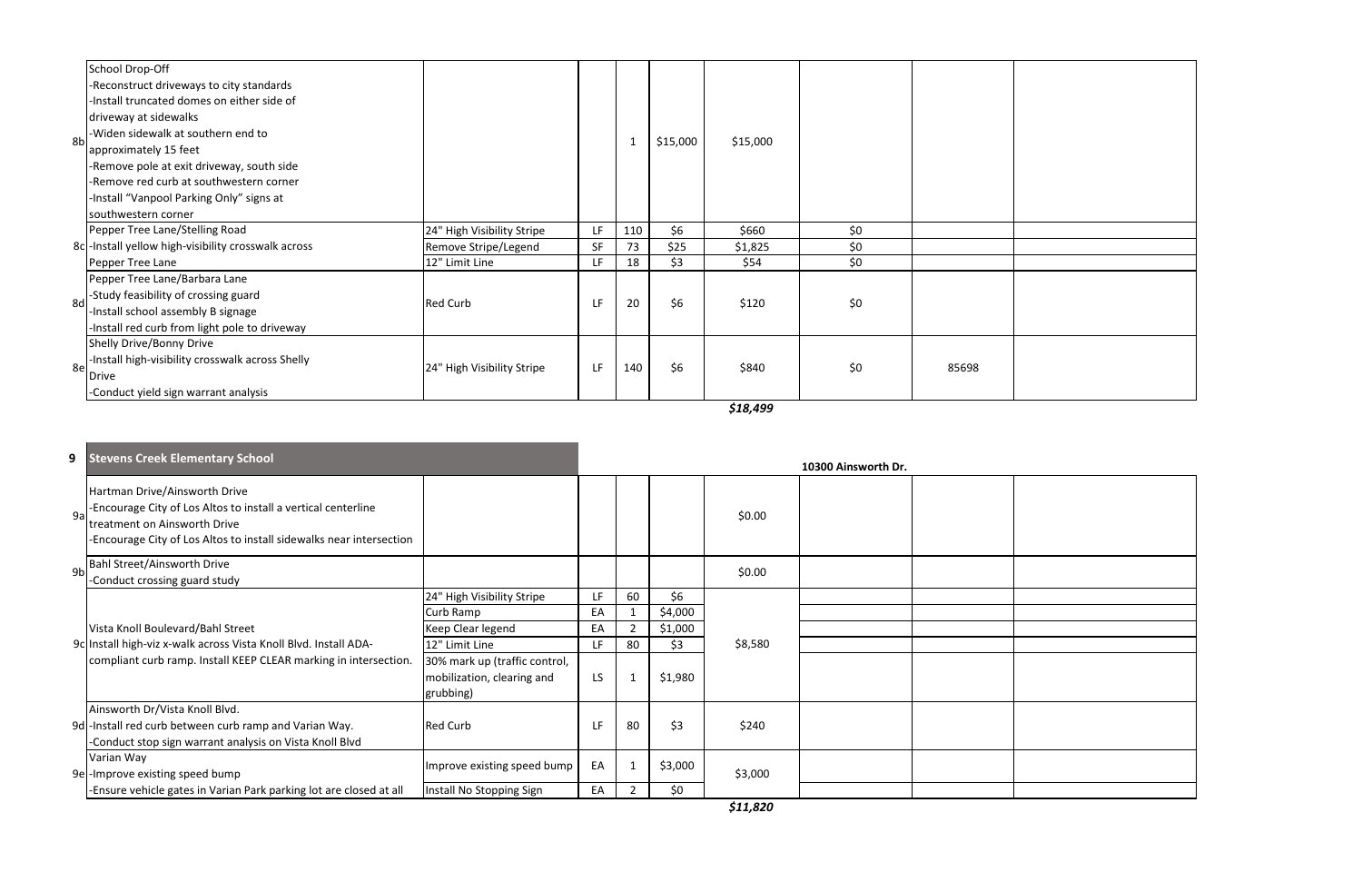*\$18,499*

| 8b | School Drop-Off<br>-Reconstruct driveways to city standards<br>-Install truncated domes on either side of<br>driveway at sidewalks<br>-Widen sidewalk at southern end to<br>approximately 15 feet<br>-Remove pole at exit driveway, south side<br>-Remove red curb at southwestern corner<br>-Install "Vanpool Parking Only" signs at<br>southwestern corner |                            |     | $\mathbf 1$ | \$15,000 | \$15,000 |     |       |  |
|----|--------------------------------------------------------------------------------------------------------------------------------------------------------------------------------------------------------------------------------------------------------------------------------------------------------------------------------------------------------------|----------------------------|-----|-------------|----------|----------|-----|-------|--|
|    | Pepper Tree Lane/Stelling Road                                                                                                                                                                                                                                                                                                                               | 24" High Visibility Stripe | LF. | 110         | \$6      | \$660    | \$0 |       |  |
|    | 8c - Install yellow high-visibility crosswalk across                                                                                                                                                                                                                                                                                                         | Remove Stripe/Legend       | SF  | 73          | \$25     | \$1,825  | \$0 |       |  |
|    | Pepper Tree Lane                                                                                                                                                                                                                                                                                                                                             | 12" Limit Line             | LF. | 18          | \$3      | \$54     | \$0 |       |  |
| 8d | Pepper Tree Lane/Barbara Lane<br>-Study feasibility of crossing guard<br>-Install school assembly B signage<br>-Install red curb from light pole to driveway                                                                                                                                                                                                 | <b>Red Curb</b>            | LF. | 20          | \$6      | \$120    | \$0 |       |  |
| 8e | Shelly Drive/Bonny Drive<br>-Install high-visibility crosswalk across Shelly<br>Drive<br>-Conduct yield sign warrant analysis                                                                                                                                                                                                                                | 24" High Visibility Stripe | LF. | 140         | \$6      | \$840    | \$0 | 85698 |  |

|                | 9 Stevens Creek Elementary School                                                                                                                                                                     |                                                                                                                                                            |                              |                                            |                                             |         | 10300 Ainsworth Dr. |  |
|----------------|-------------------------------------------------------------------------------------------------------------------------------------------------------------------------------------------------------|------------------------------------------------------------------------------------------------------------------------------------------------------------|------------------------------|--------------------------------------------|---------------------------------------------|---------|---------------------|--|
| 9a             | Hartman Drive/Ainsworth Drive<br>-Encourage City of Los Altos to install a vertical centerline<br>treatment on Ainsworth Drive<br>-Encourage City of Los Altos to install sidewalks near intersection |                                                                                                                                                            |                              |                                            |                                             | \$0.00  |                     |  |
| 9 <sub>b</sub> | Bahl Street/Ainsworth Drive<br>-Conduct crossing guard study                                                                                                                                          |                                                                                                                                                            |                              |                                            |                                             | \$0.00  |                     |  |
|                | Vista Knoll Boulevard/Bahl Street<br>9c Install high-viz x-walk across Vista Knoll Blvd. Install ADA-<br>compliant curb ramp. Install KEEP CLEAR marking in intersection.                             | 24" High Visibility Stripe<br>Curb Ramp<br>Keep Clear legend<br>12" Limit Line<br>30% mark up (traffic control,<br>mobilization, clearing and<br>grubbing) | LF<br>EA<br>EA<br>LF.<br>LS. | 60<br>$\overline{2}$<br>80<br>$\mathbf{1}$ | \$6<br>\$4,000<br>\$1,000<br>\$3<br>\$1,980 | \$8,580 |                     |  |
|                | Ainsworth Dr/Vista Knoll Blvd.<br>9d - Install red curb between curb ramp and Varian Way.<br>-Conduct stop sign warrant analysis on Vista Knoll Blvd                                                  | <b>Red Curb</b>                                                                                                                                            | LF.                          | 80                                         | \$3                                         | \$240   |                     |  |
|                | Varian Way<br>9e-Improve existing speed bump<br>-Ensure vehicle gates in Varian Park parking lot are closed at all                                                                                    | Improve existing speed bump<br>Install No Stopping Sign                                                                                                    | EA<br>EA                     |                                            | \$3,000<br>\$0                              | \$3,000 |                     |  |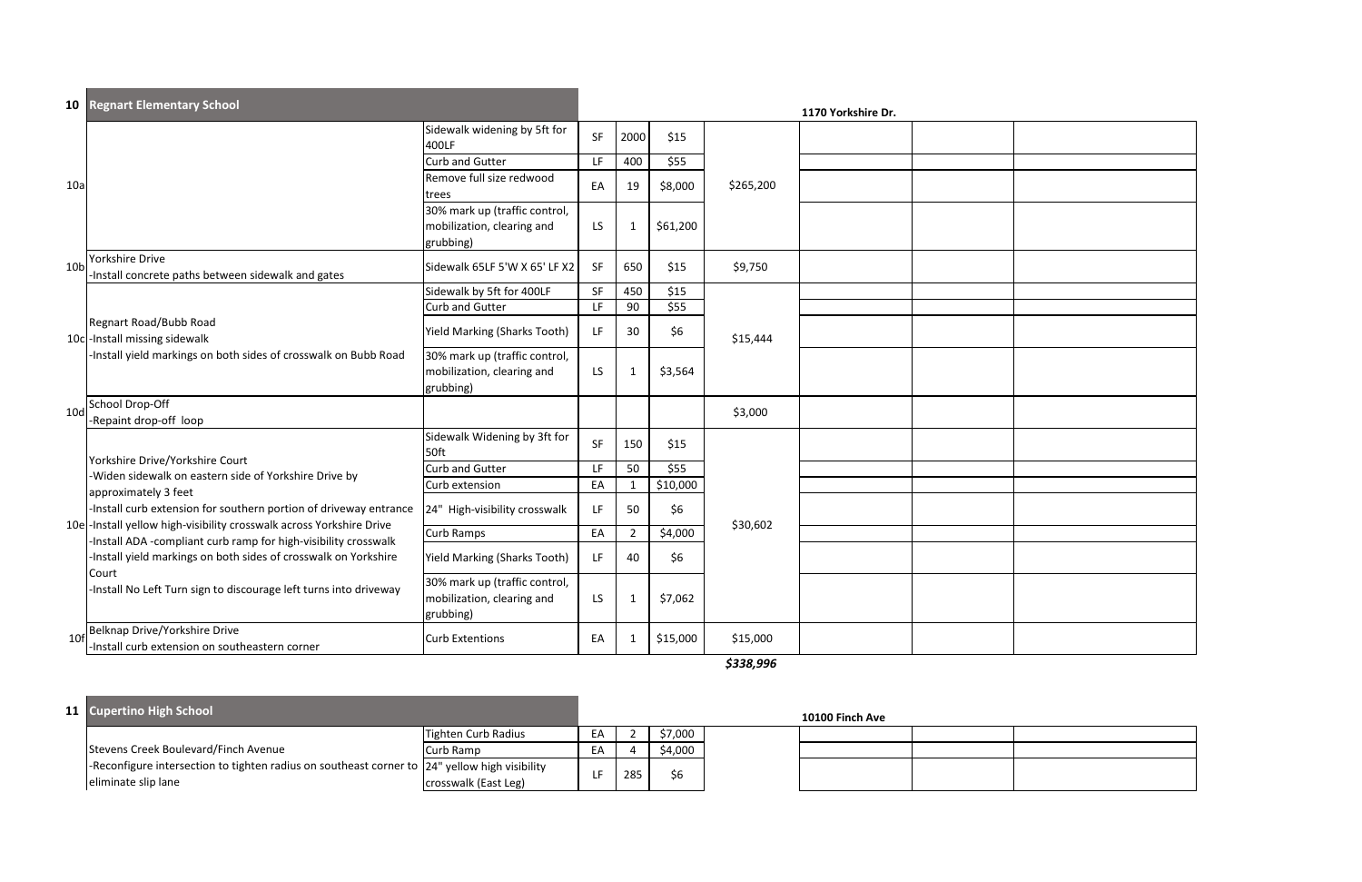|                 | <b>10 Regnart Elementary School</b>                                                                                                       |                                                                          |           |                |          |           | 1170 Yorkshire Dr. |  |
|-----------------|-------------------------------------------------------------------------------------------------------------------------------------------|--------------------------------------------------------------------------|-----------|----------------|----------|-----------|--------------------|--|
|                 |                                                                                                                                           | Sidewalk widening by 5ft for<br>400LF                                    | SF        | 2000           | \$15     |           |                    |  |
|                 |                                                                                                                                           | <b>Curb and Gutter</b>                                                   | LF        | 400            | \$55     |           |                    |  |
| 10a             |                                                                                                                                           | Remove full size redwood<br>trees                                        | EA        | 19             | \$8,000  | \$265,200 |                    |  |
|                 |                                                                                                                                           | 30% mark up (traffic control,<br>mobilization, clearing and<br>grubbing) | LS.       | $\mathbf{1}$   | \$61,200 |           |                    |  |
| 10 <sub>b</sub> | Yorkshire Drive<br>-Install concrete paths between sidewalk and gates                                                                     | Sidewalk 65LF 5'W X 65' LF X2                                            | SF        | 650            | \$15     | \$9,750   |                    |  |
|                 |                                                                                                                                           | Sidewalk by 5ft for 400LF                                                | SF        | 450            | \$15     |           |                    |  |
|                 |                                                                                                                                           | <b>Curb and Gutter</b>                                                   | LF        | 90             | \$55     |           |                    |  |
|                 | Regnart Road/Bubb Road<br>10c - Install missing sidewalk                                                                                  | <b>Yield Marking (Sharks Tooth)</b>                                      | LF        | 30             | \$6      | \$15,444  |                    |  |
|                 | -Install yield markings on both sides of crosswalk on Bubb Road                                                                           | 30% mark up (traffic control,<br>mobilization, clearing and<br>grubbing) | LS        | -1             | \$3,564  |           |                    |  |
| 10d             | School Drop-Off<br>-Repaint drop-off loop                                                                                                 |                                                                          |           |                |          | \$3,000   |                    |  |
|                 | Yorkshire Drive/Yorkshire Court                                                                                                           | Sidewalk Widening by 3ft for<br>50ft                                     | <b>SF</b> | 150            | \$15     |           |                    |  |
|                 | -Widen sidewalk on eastern side of Yorkshire Drive by                                                                                     | <b>Curb and Gutter</b>                                                   | LF        | 50             | \$55     |           |                    |  |
|                 | approximately 3 feet                                                                                                                      | Curb extension                                                           | EA        | $\mathbf{1}$   | \$10,000 |           |                    |  |
|                 | -Install curb extension for southern portion of driveway entrance<br>10e -Install yellow high-visibility crosswalk across Yorkshire Drive | 24" High-visibility crosswalk                                            | LF        | 50             | \$6      | \$30,602  |                    |  |
|                 | -Install ADA -compliant curb ramp for high-visibility crosswalk                                                                           | Curb Ramps                                                               | EA        | $\overline{2}$ | \$4,000  |           |                    |  |
|                 | -Install yield markings on both sides of crosswalk on Yorkshire                                                                           | <b>Yield Marking (Sharks Tooth)</b>                                      | LF.       | 40             | \$6      |           |                    |  |
|                 | Court<br>-Install No Left Turn sign to discourage left turns into driveway                                                                | 30% mark up (traffic control,<br>mobilization, clearing and<br>grubbing) | LS.       | 1              | \$7,062  |           |                    |  |
| 10 <sub>f</sub> | Belknap Drive/Yorkshire Drive<br>-Install curb extension on southeastern corner                                                           | <b>Curb Extentions</b>                                                   | EA        | -1             | \$15,000 | \$15,000  |                    |  |

*\$338,996*

#### **11 Cupertino High School 10100 Finch Ave** Tighten Curb Radius EA 2<br>
Curb Ramp EA 4  $\begin{array}{|c|c|c|c|c|c|c|c|c|}\n\hline\n\text{Curb Ramp} & \text{EA} & 4 & 54,000 \\
\hline\n\end{array}$ -Reconfigure intersection to tighten radius on southeast corner to  $|24"$  yellow high visibility  $24^{\circ}$  yellow high visibility<br>crosswalk (East Leg) LF 285 \$6 Stevens Creek Boulevard/Finch Avenue eliminate slip lane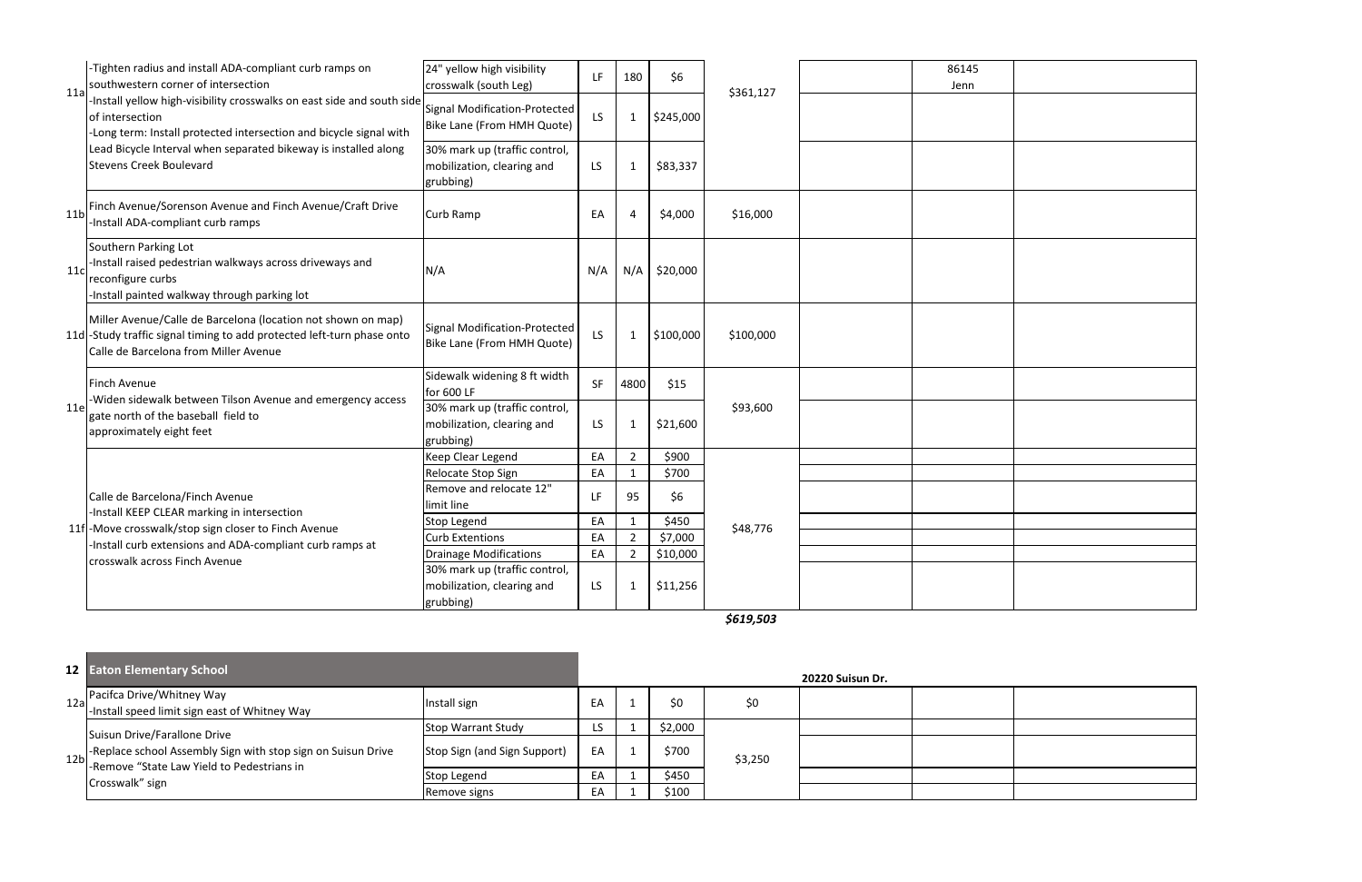| 11a             | -Tighten radius and install ADA-compliant curb ramps on<br>southwestern corner of intersection                                                                                  | 24" yellow high visibility<br>crosswalk (south Leg)                      | LF.       | 180            | \$6       | \$361,127 | 86145<br>Jenn |  |
|-----------------|---------------------------------------------------------------------------------------------------------------------------------------------------------------------------------|--------------------------------------------------------------------------|-----------|----------------|-----------|-----------|---------------|--|
|                 | -Install yellow high-visibility crosswalks on east side and south side<br>of intersection<br>-Long term: Install protected intersection and bicycle signal with                 | Signal Modification-Protected<br>Bike Lane (From HMH Quote)              | LS        | 1              | \$245,000 |           |               |  |
|                 | Lead Bicycle Interval when separated bikeway is installed along<br><b>Stevens Creek Boulevard</b>                                                                               | 30% mark up (traffic control,<br>mobilization, clearing and<br>grubbing) | <b>LS</b> | $\mathbf 1$    | \$83,337  |           |               |  |
| 11 <sub>b</sub> | Finch Avenue/Sorenson Avenue and Finch Avenue/Craft Drive<br>Install ADA-compliant curb ramps                                                                                   | Curb Ramp                                                                | EA        | 4              | \$4,000   | \$16,000  |               |  |
| 11c             | Southern Parking Lot<br>-Install raised pedestrian walkways across driveways and<br>reconfigure curbs<br>Install painted walkway through parking lot                            | N/A                                                                      | N/A       | N/A            | \$20,000  |           |               |  |
|                 | Miller Avenue/Calle de Barcelona (location not shown on map)<br>11d -Study traffic signal timing to add protected left-turn phase onto<br>Calle de Barcelona from Miller Avenue | Signal Modification-Protected<br>Bike Lane (From HMH Quote)              | LS        | $\mathbf{1}$   | \$100,000 | \$100,000 |               |  |
|                 | <b>Finch Avenue</b><br>-Widen sidewalk between Tilson Avenue and emergency access                                                                                               | Sidewalk widening 8 ft width<br>for 600 LF                               | <b>SF</b> | 4800           | \$15      |           |               |  |
| 11e             | gate north of the baseball field to<br>approximately eight feet                                                                                                                 | 30% mark up (traffic control,<br>mobilization, clearing and<br>grubbing) | LS        | $\mathbf 1$    | \$21,600  | \$93,600  |               |  |
|                 |                                                                                                                                                                                 | Keep Clear Legend                                                        | EA        | $\overline{2}$ | \$900     |           |               |  |
|                 |                                                                                                                                                                                 | Relocate Stop Sign                                                       | EA        | $\mathbf{1}$   | \$700     |           |               |  |
|                 | Calle de Barcelona/Finch Avenue<br>-Install KEEP CLEAR marking in intersection                                                                                                  | Remove and relocate 12"<br>limit line                                    | LF.       | 95             | \$6       |           |               |  |
|                 | 11f-Move crosswalk/stop sign closer to Finch Avenue                                                                                                                             | <b>Stop Legend</b>                                                       | EA        | $\mathbf{1}$   | \$450     | \$48,776  |               |  |
|                 | Install curb extensions and ADA-compliant curb ramps at                                                                                                                         | <b>Curb Extentions</b>                                                   | EA        | $\overline{2}$ | \$7,000   |           |               |  |
|                 | crosswalk across Finch Avenue                                                                                                                                                   | <b>Drainage Modifications</b>                                            | EA        | $\overline{2}$ | \$10,000  |           |               |  |
|                 |                                                                                                                                                                                 | 30% mark up (traffic control,                                            |           |                |           |           |               |  |
|                 |                                                                                                                                                                                 | mobilization, clearing and<br>grubbing)                                  | LS        | $\mathbf 1$    | \$11,256  |           |               |  |

#### **12 Eaton Elementary School 20220 Suisun Dr.** Pacifca Drive/Whitney Way -Install speed limit sign east of Whitney Way Install sign EA <sup>1</sup> \$0 \$0 Stop Warrant Study LS 1 \$2,000 Stop Sign (and Sign Support)  $\begin{array}{|c|c|c|c|c|c|c|c|c|} \hline \end{array}$  EA  $\begin{array}{|c|c|c|c|c|c|c|c|c|} \hline 1 & 3700 & 5700 & 5700 & 5700 & 5700 & 5700 & 5700 & 5700 & 5700 & 5700 & 5700 & 5700 & 5700 & 5700 & 5700 & 5700 & 5700 & 5700 & 5700 & 5700 &$ Stop Legend EA 1 \$450<br>Remove signs EA 1 \$100 Remove signs Band EA 1 \$3,250 Suisun Drive/Farallone Drive -Replace school Assembly Sign with stop sign on Suisun Drive -Remove "State Law Yield to Pedestrians in Crosswalk" sign 12b

*\$619,503*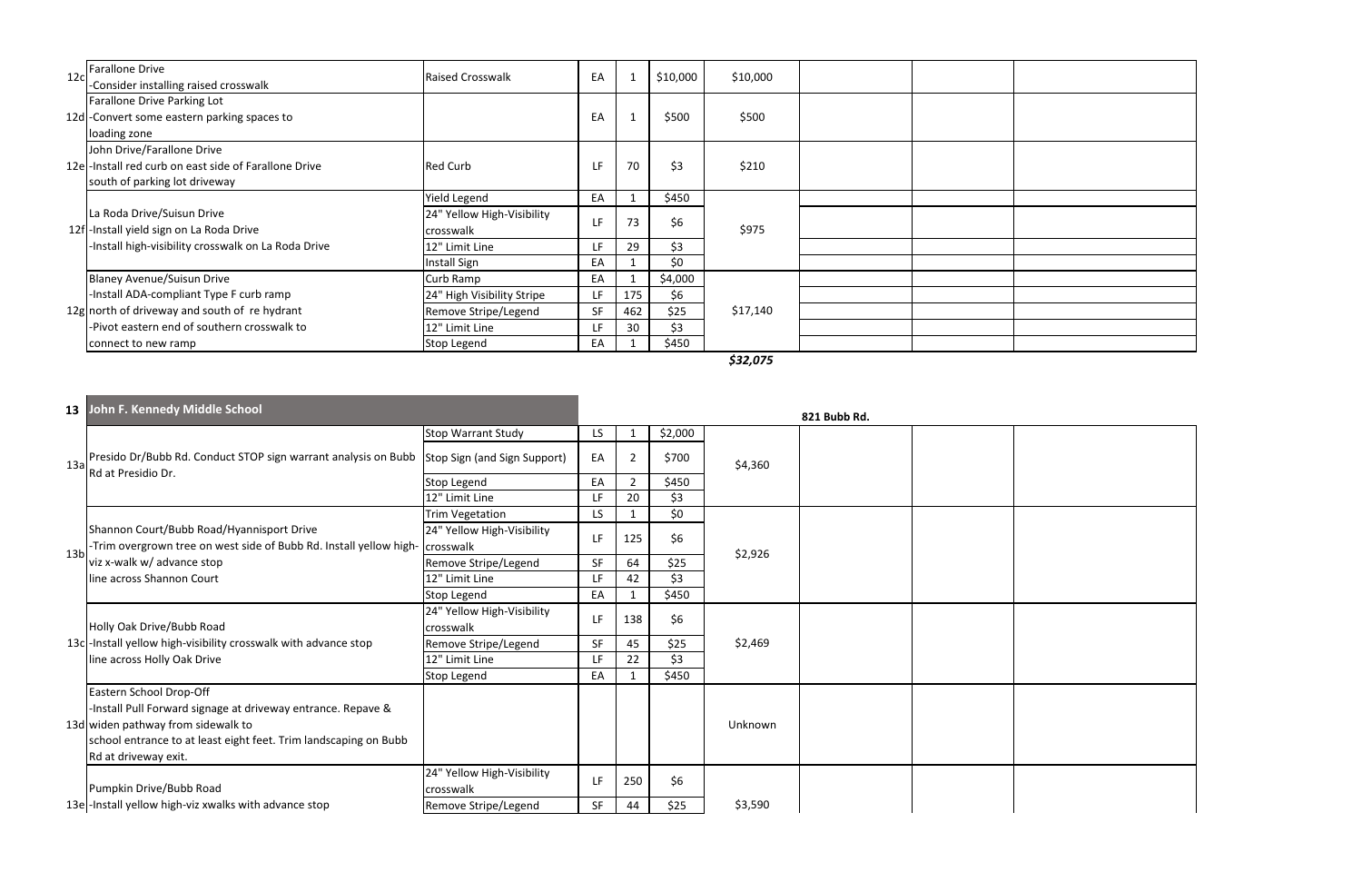*\$32,075*

| 12 <sub>c</sub> | Farallone Drive<br>-Consider installing raised crosswalk                                                                       | <b>Raised Crosswalk</b>                 | EA |     | \$10,000 | \$10,000 |  |  |
|-----------------|--------------------------------------------------------------------------------------------------------------------------------|-----------------------------------------|----|-----|----------|----------|--|--|
|                 | Farallone Drive Parking Lot<br>12d - Convert some eastern parking spaces to<br>loading zone                                    |                                         | EA |     | \$500    | \$500    |  |  |
|                 | John Drive/Farallone Drive<br>12e - Install red curb on east side of Farallone Drive<br>south of parking lot driveway          | <b>Red Curb</b>                         | LF | 70  | \$3      | \$210    |  |  |
|                 |                                                                                                                                | <b>Yield Legend</b>                     | EA |     | \$450    |          |  |  |
|                 | La Roda Drive/Suisun Drive<br>12f - Install yield sign on La Roda Drive<br>-Install high-visibility crosswalk on La Roda Drive | 24" Yellow High-Visibility<br>crosswalk | LF | 73  | \$6      | \$975    |  |  |
|                 |                                                                                                                                | 12" Limit Line                          | LF | 29  | \$3      |          |  |  |
|                 |                                                                                                                                | <b>Install Sign</b>                     | EA |     | \$0      |          |  |  |
|                 | Blaney Avenue/Suisun Drive                                                                                                     | Curb Ramp                               | EA |     | \$4,000  | \$17,140 |  |  |
|                 | -Install ADA-compliant Type F curb ramp                                                                                        | 24" High Visibility Stripe              | LF | 175 | \$6      |          |  |  |
|                 | 12g north of driveway and south of re hydrant                                                                                  | Remove Stripe/Legend                    | SF | 462 | \$25     |          |  |  |
|                 | -Pivot eastern end of southern crosswalk to                                                                                    | 12" Limit Line                          | LF | 30  | \$3      |          |  |  |
|                 | connect to new ramp                                                                                                            | Stop Legend                             | EA |     | \$450    |          |  |  |

|                 | 13 John F. Kennedy Middle School                                                                                                                                                                                          |                                         |           | 821 Bubb Rd. |         |         |  |  |  |  |
|-----------------|---------------------------------------------------------------------------------------------------------------------------------------------------------------------------------------------------------------------------|-----------------------------------------|-----------|--------------|---------|---------|--|--|--|--|
| 13a             | Presido Dr/Bubb Rd. Conduct STOP sign warrant analysis on Bubb<br>Rd at Presidio Dr.                                                                                                                                      | <b>Stop Warrant Study</b>               | LS        |              | \$2,000 | \$4,360 |  |  |  |  |
|                 |                                                                                                                                                                                                                           | Stop Sign (and Sign Support)            | EA        |              | \$700   |         |  |  |  |  |
|                 |                                                                                                                                                                                                                           | Stop Legend                             | EA        |              | \$450   |         |  |  |  |  |
|                 |                                                                                                                                                                                                                           | 12" Limit Line                          | LF.       | 20           | \$3     |         |  |  |  |  |
|                 | Shannon Court/Bubb Road/Hyannisport Drive<br>-Trim overgrown tree on west side of Bubb Rd. Install yellow high- crosswalk<br>viz x-walk w/ advance stop<br>line across Shannon Court                                      | <b>Trim Vegetation</b>                  | LS.       |              | \$0     | \$2,926 |  |  |  |  |
|                 |                                                                                                                                                                                                                           | 24" Yellow High-Visibility              | LF        | 125          | \$6     |         |  |  |  |  |
| 13 <sub>b</sub> |                                                                                                                                                                                                                           | Remove Stripe/Legend                    | <b>SF</b> | 64           | \$25    |         |  |  |  |  |
|                 |                                                                                                                                                                                                                           | 12" Limit Line                          | LF.       | 42           | \$3     |         |  |  |  |  |
|                 |                                                                                                                                                                                                                           | Stop Legend                             | EA        |              | \$450   |         |  |  |  |  |
|                 | Holly Oak Drive/Bubb Road<br>13c - Install yellow high-visibility crosswalk with advance stop<br>line across Holly Oak Drive                                                                                              | 24" Yellow High-Visibility<br>crosswalk | LF        | 138          | \$6     |         |  |  |  |  |
|                 |                                                                                                                                                                                                                           | Remove Stripe/Legend                    | <b>SF</b> | 45           | \$25    | \$2,469 |  |  |  |  |
|                 |                                                                                                                                                                                                                           | 12" Limit Line                          | LF.       | 22           | \$3     |         |  |  |  |  |
|                 |                                                                                                                                                                                                                           | Stop Legend                             | EA        |              | \$450   |         |  |  |  |  |
|                 | Eastern School Drop-Off<br>-Install Pull Forward signage at driveway entrance. Repave &<br>13d widen pathway from sidewalk to<br>school entrance to at least eight feet. Trim landscaping on Bubb<br>Rd at driveway exit. |                                         |           |              |         | Unknown |  |  |  |  |
|                 | Pumpkin Drive/Bubb Road                                                                                                                                                                                                   | 24" Yellow High-Visibility<br>crosswalk | LF        | 250          | \$6     |         |  |  |  |  |
|                 | 13e - Install yellow high-viz xwalks with advance stop                                                                                                                                                                    | Remove Stripe/Legend                    | <b>SF</b> | 44           | \$25    | \$3,590 |  |  |  |  |